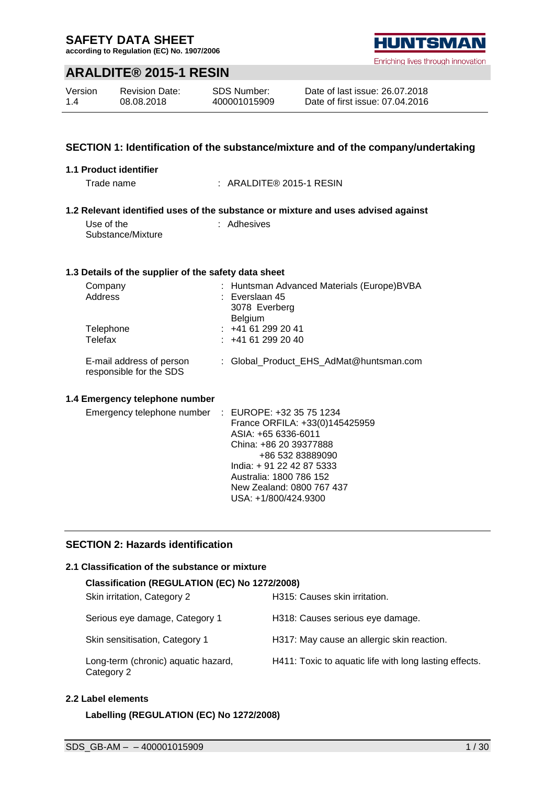**according to Regulation (EC) No. 1907/2006**

### **ARALDITE® 2015-1 RESIN**

| Version | <b>Revision Date:</b> | SDS Number:  |
|---------|-----------------------|--------------|
| 1.4     | 08.08.2018            | 400001015909 |

### **SECTION 1: Identification of the substance/mixture and of the company/undertaking**

#### **1.1 Product identifier**

Trade name : ARALDITE® 2015-1 RESIN

#### **1.2 Relevant identified uses of the substance or mixture and uses advised against** : Adhesives

Use of the Substance/Mixture

# **1.3 Details of the supplier of the safety data sheet**

| Company<br>Address                                  | : Huntsman Advanced Materials (Europe)BVBA<br>$:$ Everslaan 45<br>3078 Everberg<br><b>Belgium</b> |
|-----------------------------------------------------|---------------------------------------------------------------------------------------------------|
| Telephone<br>Telefax                                | $: +41612992041$<br>$: +41612992040$                                                              |
| E-mail address of person<br>responsible for the SDS | : Global Product EHS AdMat@huntsman.com                                                           |

#### **1.4 Emergency telephone number**

| Emergency telephone number | : EUROPE: +32 35 75 1234       |
|----------------------------|--------------------------------|
|                            | France ORFILA: +33(0)145425959 |
|                            | ASIA: +65 6336-6011            |
|                            | China: +86 20 39377888         |
|                            | +86 532 83889090               |
|                            | India: +91 22 42 87 5333       |
|                            | Australia: 1800 786 152        |
|                            | New Zealand: 0800 767 437      |
|                            | USA: +1/800/424.9300           |
|                            |                                |

### **SECTION 2: Hazards identification**

#### **2.1 Classification of the substance or mixture**

| Classification (REGULATION (EC) No 1272/2008)     |                                                        |  |  |  |
|---------------------------------------------------|--------------------------------------------------------|--|--|--|
| Skin irritation, Category 2                       | H315: Causes skin irritation.                          |  |  |  |
| Serious eye damage, Category 1                    | H318: Causes serious eye damage.                       |  |  |  |
| Skin sensitisation, Category 1                    | H317: May cause an allergic skin reaction.             |  |  |  |
| Long-term (chronic) aquatic hazard,<br>Category 2 | H411: Toxic to aquatic life with long lasting effects. |  |  |  |

#### **2.2 Label elements**

**Labelling (REGULATION (EC) No 1272/2008)**

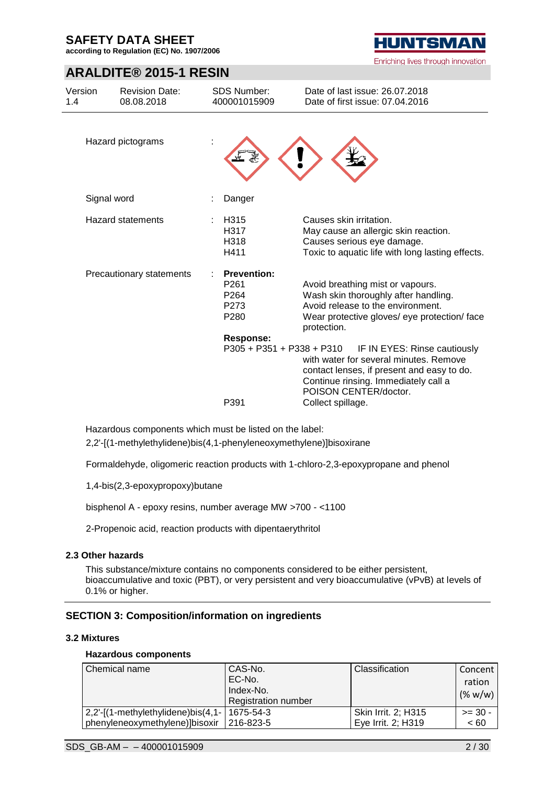**according to Regulation (EC) No. 1907/2006**

# **ARALDITE® 2015-1 RESIN**

| Version<br>1.4 | <b>Revision Date:</b><br>08.08.2018 | <b>SDS Number:</b><br>400001015909                                         | Date of last issue: 26.07.2018<br>Date of first issue: 07.04.2016                                                                                                                                          |
|----------------|-------------------------------------|----------------------------------------------------------------------------|------------------------------------------------------------------------------------------------------------------------------------------------------------------------------------------------------------|
|                | Hazard pictograms                   |                                                                            |                                                                                                                                                                                                            |
|                | Signal word                         | Danger                                                                     |                                                                                                                                                                                                            |
|                | <b>Hazard statements</b>            | H <sub>315</sub><br>H317<br>H318<br>H411                                   | Causes skin irritation.<br>May cause an allergic skin reaction.<br>Causes serious eye damage.<br>Toxic to aquatic life with long lasting effects.                                                          |
|                | Precautionary statements            | <b>Prevention:</b><br>P <sub>261</sub><br>P <sub>264</sub><br>P273<br>P280 | Avoid breathing mist or vapours.<br>Wash skin thoroughly after handling.<br>Avoid release to the environment.<br>Wear protective gloves/ eye protection/ face<br>protection.                               |
|                |                                     | <b>Response:</b><br>P305 + P351 + P338 + P310<br>P391                      | IF IN EYES: Rinse cautiously<br>with water for several minutes. Remove<br>contact lenses, if present and easy to do.<br>Continue rinsing. Immediately call a<br>POISON CENTER/doctor.<br>Collect spillage. |

Hazardous components which must be listed on the label:

2,2'-[(1-methylethylidene)bis(4,1-phenyleneoxymethylene)]bisoxirane

Formaldehyde, oligomeric reaction products with 1-chloro-2,3-epoxypropane and phenol

1,4-bis(2,3-epoxypropoxy)butane

bisphenol A - epoxy resins, number average MW >700 - <1100

2-Propenoic acid, reaction products with dipentaerythritol

#### **2.3 Other hazards**

This substance/mixture contains no components considered to be either persistent, bioaccumulative and toxic (PBT), or very persistent and very bioaccumulative (vPvB) at levels of 0.1% or higher.

### **SECTION 3: Composition/information on ingredients**

#### **3.2 Mixtures**

#### **Hazardous components**

| Chemical name                         | CAS-No.                    | Classification      | Concent   |
|---------------------------------------|----------------------------|---------------------|-----------|
|                                       | EC-No.                     |                     | ration    |
|                                       | Index-No.                  |                     | (% w/w)   |
|                                       | <b>Registration number</b> |                     |           |
| $2,2'$ -[(1-methylethylidene)bis(4,1- | 1675-54-3                  | Skin Irrit. 2; H315 | $>= 30 -$ |
| phenyleneoxymethylene)]bisoxir        | 216-823-5                  | Eve Irrit. 2: H319  | < 60      |

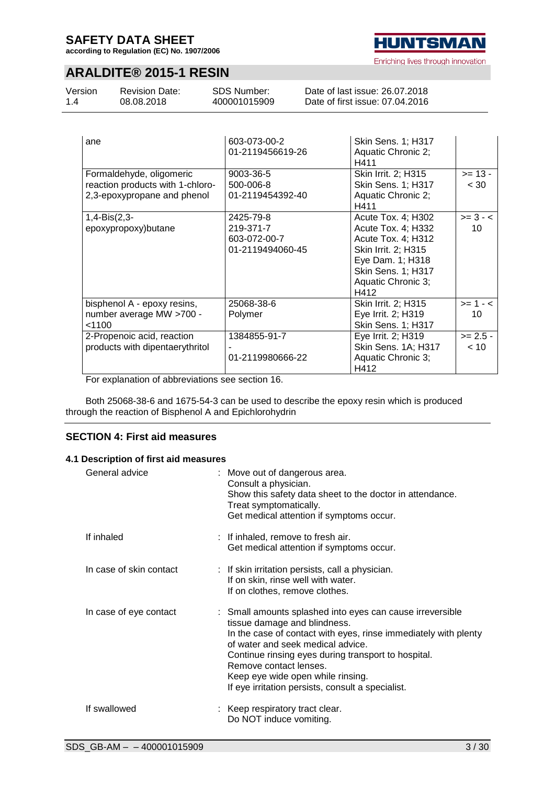**according to Regulation (EC) No. 1907/2006**

**HUNTSMAN** Enriching lives through innovation

# **ARALDITE® 2015-1 RESIN**

| Version | <b>Revision Date:</b> | SDS Number:  | Date of last issue: 26.07.2018  |  |
|---------|-----------------------|--------------|---------------------------------|--|
| 1.4     | 08.08.2018            | 400001015909 | Date of first issue: 07.04.2016 |  |
|         |                       |              |                                 |  |

| ane                                                                                         | 603-073-00-2<br>01-2119456619-26                           | <b>Skin Sens. 1; H317</b><br>Aquatic Chronic 2;<br>H411                                                                                                       |                    |
|---------------------------------------------------------------------------------------------|------------------------------------------------------------|---------------------------------------------------------------------------------------------------------------------------------------------------------------|--------------------|
| Formaldehyde, oligomeric<br>reaction products with 1-chloro-<br>2,3-epoxypropane and phenol | 9003-36-5<br>500-006-8<br>01-2119454392-40                 | Skin Irrit. 2; H315<br><b>Skin Sens. 1; H317</b><br>Aquatic Chronic 2;<br>H411                                                                                | $>= 13 -$<br>< 30  |
| $1,4-Bis(2,3-$<br>epoxypropoxy) butane                                                      | 2425-79-8<br>219-371-7<br>603-072-00-7<br>01-2119494060-45 | Acute Tox. 4; H302<br>Acute Tox. 4; H332<br>Acute Tox. 4; H312<br>Skin Irrit. 2; H315<br>Eye Dam. 1; H318<br>Skin Sens. 1; H317<br>Aquatic Chronic 3;<br>H412 | $>= 3 - 5$<br>10   |
| bisphenol A - epoxy resins,<br>number average MW >700 -<br>< 1100                           | 25068-38-6<br>Polymer                                      | Skin Irrit. 2; H315<br>Eye Irrit. 2; H319<br>Skin Sens. 1; H317                                                                                               | $>= 1 - 5$<br>10   |
| 2-Propenoic acid, reaction<br>products with dipentaerythritol                               | 1384855-91-7<br>01-2119980666-22                           | Eye Irrit. 2; H319<br>Skin Sens. 1A; H317<br>Aquatic Chronic 3;<br>H412                                                                                       | $>= 2.5 -$<br>< 10 |

For explanation of abbreviations see section 16.

Both 25068-38-6 and 1675-54-3 can be used to describe the epoxy resin which is produced through the reaction of Bisphenol A and Epichlorohydrin

### **SECTION 4: First aid measures**

#### **4.1 Description of first aid measures**

| General advice          | : Move out of dangerous area.<br>Consult a physician.<br>Show this safety data sheet to the doctor in attendance.<br>Treat symptomatically.<br>Get medical attention if symptoms occur.                                                                                                                                                                                      |
|-------------------------|------------------------------------------------------------------------------------------------------------------------------------------------------------------------------------------------------------------------------------------------------------------------------------------------------------------------------------------------------------------------------|
| If inhaled              | : If inhaled, remove to fresh air.<br>Get medical attention if symptoms occur.                                                                                                                                                                                                                                                                                               |
| In case of skin contact | : If skin irritation persists, call a physician.<br>If on skin, rinse well with water.<br>If on clothes, remove clothes.                                                                                                                                                                                                                                                     |
| In case of eye contact  | : Small amounts splashed into eyes can cause irreversible<br>tissue damage and blindness.<br>In the case of contact with eyes, rinse immediately with plenty<br>of water and seek medical advice.<br>Continue rinsing eyes during transport to hospital.<br>Remove contact lenses.<br>Keep eye wide open while rinsing.<br>If eye irritation persists, consult a specialist. |
| If swallowed            | : Keep respiratory tract clear.<br>Do NOT induce vomiting.                                                                                                                                                                                                                                                                                                                   |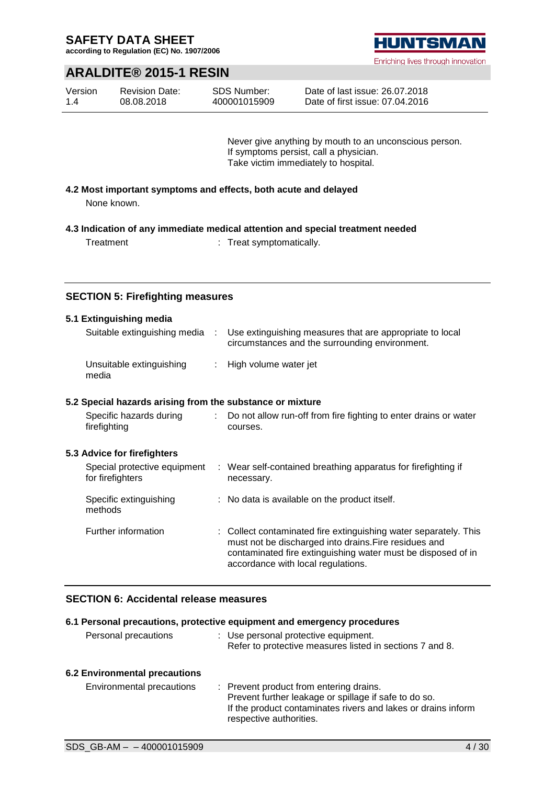**according to Regulation (EC) No. 1907/2006**



Enriching lives through innovation

### **ARALDITE® 2015-1 RESIN**

| Version | <b>Revision Date:</b> | <b>SDS Number:</b> |
|---------|-----------------------|--------------------|
| 1.4     | 08.08.2018            | 400001015909       |

Date of last issue: 26.07.2018 Date of first issue: 07.04.2016

Never give anything by mouth to an unconscious person. If symptoms persist, call a physician. Take victim immediately to hospital.

**4.2 Most important symptoms and effects, both acute and delayed** None known.

**4.3 Indication of any immediate medical attention and special treatment needed**

Treatment : Treat symptomatically.

### **SECTION 5: Firefighting measures**

| 5.1 Extinguishing media<br>Suitable extinguishing media : |                           | Use extinguishing measures that are appropriate to local                                                                                                                                                                        |
|-----------------------------------------------------------|---------------------------|---------------------------------------------------------------------------------------------------------------------------------------------------------------------------------------------------------------------------------|
|                                                           |                           | circumstances and the surrounding environment.                                                                                                                                                                                  |
| Unsuitable extinguishing<br>media                         |                           | : High volume water jet                                                                                                                                                                                                         |
| 5.2 Special hazards arising from the substance or mixture |                           |                                                                                                                                                                                                                                 |
| Specific hazards during<br>firefighting                   | $\mathbb{R}^{\mathbb{Z}}$ | Do not allow run-off from fire fighting to enter drains or water<br>courses.                                                                                                                                                    |
| 5.3 Advice for firefighters                               |                           |                                                                                                                                                                                                                                 |
| Special protective equipment<br>for firefighters          |                           | : Wear self-contained breathing apparatus for firefighting if<br>necessary.                                                                                                                                                     |
| Specific extinguishing<br>methods                         |                           | : No data is available on the product itself.                                                                                                                                                                                   |
| Further information                                       |                           | : Collect contaminated fire extinguishing water separately. This<br>must not be discharged into drains. Fire residues and<br>contaminated fire extinguishing water must be disposed of in<br>accordance with local regulations. |

### **SECTION 6: Accidental release measures**

|                                  | 6.1 Personal precautions, protective equipment and emergency procedures                                                                                                                      |
|----------------------------------|----------------------------------------------------------------------------------------------------------------------------------------------------------------------------------------------|
| Personal precautions             | : Use personal protective equipment.<br>Refer to protective measures listed in sections 7 and 8.                                                                                             |
| 6.2 Environmental precautions    |                                                                                                                                                                                              |
| <b>Environmental precautions</b> | : Prevent product from entering drains.<br>Prevent further leakage or spillage if safe to do so.<br>If the product contaminates rivers and lakes or drains inform<br>respective authorities. |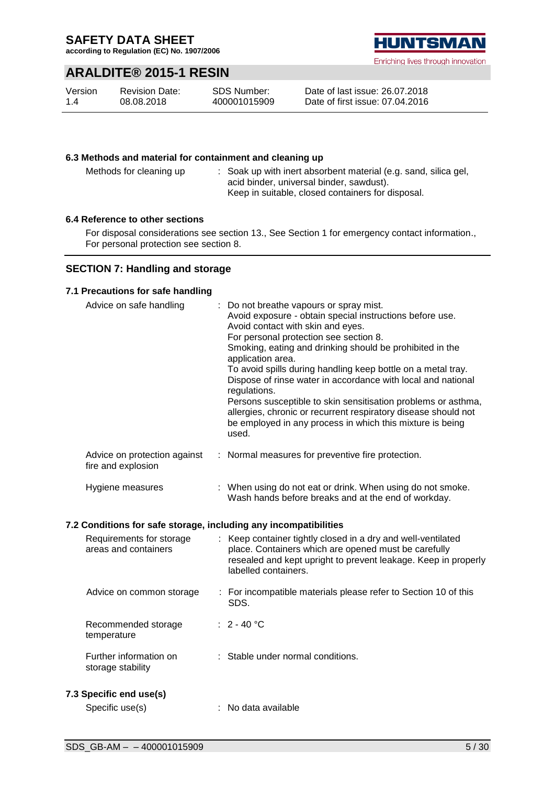**according to Regulation (EC) No. 1907/2006**

### **ARALDITE® 2015-1 RESIN**

| Version | <b>Revision Date:</b> | SDS Number:  |
|---------|-----------------------|--------------|
| 1.4     | 08.08.2018            | 400001015909 |



Date of last issue: 26.07.2018 Date of first issue: 07.04.2016

### **6.3 Methods and material for containment and cleaning up**

Methods for cleaning up : Soak up with inert absorbent material (e.g. sand, silica gel, acid binder, universal binder, sawdust). Keep in suitable, closed containers for disposal.

#### **6.4 Reference to other sections**

For disposal considerations see section 13., See Section 1 for emergency contact information., For personal protection see section 8.

### **SECTION 7: Handling and storage**

#### **7.1 Precautions for safe handling**

| Advice on safe handling                            | : Do not breathe vapours or spray mist.<br>Avoid exposure - obtain special instructions before use.<br>Avoid contact with skin and eyes.<br>For personal protection see section 8.<br>Smoking, eating and drinking should be prohibited in the<br>application area.<br>To avoid spills during handling keep bottle on a metal tray.<br>Dispose of rinse water in accordance with local and national<br>regulations.<br>Persons susceptible to skin sensitisation problems or asthma,<br>allergies, chronic or recurrent respiratory disease should not<br>be employed in any process in which this mixture is being<br>used. |
|----------------------------------------------------|------------------------------------------------------------------------------------------------------------------------------------------------------------------------------------------------------------------------------------------------------------------------------------------------------------------------------------------------------------------------------------------------------------------------------------------------------------------------------------------------------------------------------------------------------------------------------------------------------------------------------|
| Advice on protection against<br>fire and explosion | : Normal measures for preventive fire protection.                                                                                                                                                                                                                                                                                                                                                                                                                                                                                                                                                                            |
| Hygiene measures                                   | : When using do not eat or drink. When using do not smoke.<br>Wash hands before breaks and at the end of workday.                                                                                                                                                                                                                                                                                                                                                                                                                                                                                                            |

#### **7.2 Conditions for safe storage, including any incompatibilities**

| Requirements for storage<br>areas and containers | : Keep container tightly closed in a dry and well-ventilated<br>place. Containers which are opened must be carefully<br>resealed and kept upright to prevent leakage. Keep in properly<br>labelled containers. |
|--------------------------------------------------|----------------------------------------------------------------------------------------------------------------------------------------------------------------------------------------------------------------|
| Advice on common storage                         | : For incompatible materials please refer to Section 10 of this<br>SDS.                                                                                                                                        |
| Recommended storage<br>temperature               | $: 2 - 40 °C$                                                                                                                                                                                                  |
| Further information on<br>storage stability      | : Stable under normal conditions.                                                                                                                                                                              |
| 7.3 Specific end use(s)<br>Specific use(s)       | $:$ No data available                                                                                                                                                                                          |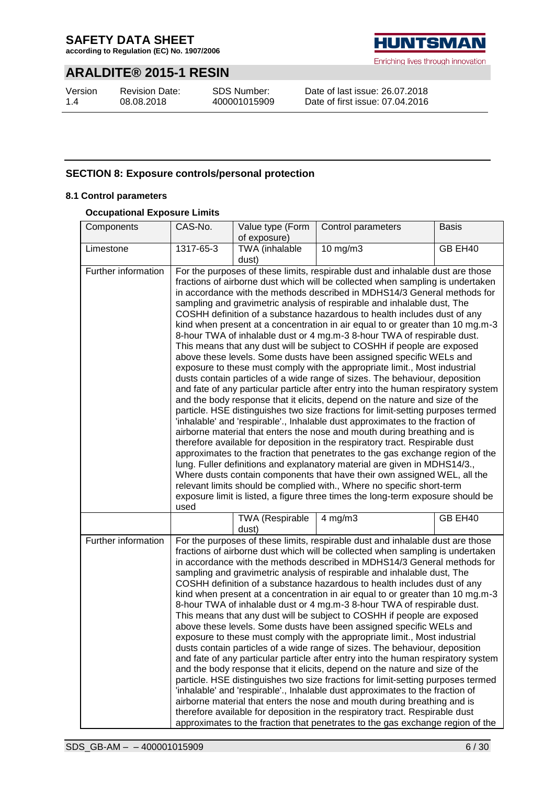**according to Regulation (EC) No. 1907/2006**

# **ARALDITE® 2015-1 RESIN**

Version 1.4

Revision Date: 08.08.2018

SDS Number: 400001015909



Enriching lives through innovation

Date of last issue: 26.07.2018 Date of first issue: 07.04.2016

### **SECTION 8: Exposure controls/personal protection**

#### **8.1 Control parameters**

### **Occupational Exposure Limits**

| Components          | CAS-No.                                                                                                                                                                                                                                                                                                                                                                                                                                                                                                                                                                                                                                                                                                                                                                                                                                                                                                                                                                                                                                                                                                                                                                                                                                                                                                                                                                                                                                                                                                                              | Value type (Form<br>of exposure) | Control parameters                                                                                                                                                                                                                                                                                                                                                                                                                                                                                                                                                                                                                                                                                                                                                                                                                                                                                                                                                                                                                                                                                                                                                                                                                                                                                                                                                                                                                                                                                                                                                                                                                                                                                                                                                                           | <b>Basis</b> |
|---------------------|--------------------------------------------------------------------------------------------------------------------------------------------------------------------------------------------------------------------------------------------------------------------------------------------------------------------------------------------------------------------------------------------------------------------------------------------------------------------------------------------------------------------------------------------------------------------------------------------------------------------------------------------------------------------------------------------------------------------------------------------------------------------------------------------------------------------------------------------------------------------------------------------------------------------------------------------------------------------------------------------------------------------------------------------------------------------------------------------------------------------------------------------------------------------------------------------------------------------------------------------------------------------------------------------------------------------------------------------------------------------------------------------------------------------------------------------------------------------------------------------------------------------------------------|----------------------------------|----------------------------------------------------------------------------------------------------------------------------------------------------------------------------------------------------------------------------------------------------------------------------------------------------------------------------------------------------------------------------------------------------------------------------------------------------------------------------------------------------------------------------------------------------------------------------------------------------------------------------------------------------------------------------------------------------------------------------------------------------------------------------------------------------------------------------------------------------------------------------------------------------------------------------------------------------------------------------------------------------------------------------------------------------------------------------------------------------------------------------------------------------------------------------------------------------------------------------------------------------------------------------------------------------------------------------------------------------------------------------------------------------------------------------------------------------------------------------------------------------------------------------------------------------------------------------------------------------------------------------------------------------------------------------------------------------------------------------------------------------------------------------------------------|--------------|
| Limestone           | 1317-65-3                                                                                                                                                                                                                                                                                                                                                                                                                                                                                                                                                                                                                                                                                                                                                                                                                                                                                                                                                                                                                                                                                                                                                                                                                                                                                                                                                                                                                                                                                                                            | TWA (inhalable<br>dust)          | 10 mg/m3                                                                                                                                                                                                                                                                                                                                                                                                                                                                                                                                                                                                                                                                                                                                                                                                                                                                                                                                                                                                                                                                                                                                                                                                                                                                                                                                                                                                                                                                                                                                                                                                                                                                                                                                                                                     | GB EH40      |
| Further information | used                                                                                                                                                                                                                                                                                                                                                                                                                                                                                                                                                                                                                                                                                                                                                                                                                                                                                                                                                                                                                                                                                                                                                                                                                                                                                                                                                                                                                                                                                                                                 |                                  | For the purposes of these limits, respirable dust and inhalable dust are those<br>fractions of airborne dust which will be collected when sampling is undertaken<br>in accordance with the methods described in MDHS14/3 General methods for<br>sampling and gravimetric analysis of respirable and inhalable dust, The<br>COSHH definition of a substance hazardous to health includes dust of any<br>kind when present at a concentration in air equal to or greater than 10 mg.m-3<br>8-hour TWA of inhalable dust or 4 mg.m-3 8-hour TWA of respirable dust.<br>This means that any dust will be subject to COSHH if people are exposed<br>above these levels. Some dusts have been assigned specific WELs and<br>exposure to these must comply with the appropriate limit., Most industrial<br>dusts contain particles of a wide range of sizes. The behaviour, deposition<br>and fate of any particular particle after entry into the human respiratory system<br>and the body response that it elicits, depend on the nature and size of the<br>particle. HSE distinguishes two size fractions for limit-setting purposes termed<br>'inhalable' and 'respirable'., Inhalable dust approximates to the fraction of<br>airborne material that enters the nose and mouth during breathing and is<br>therefore available for deposition in the respiratory tract. Respirable dust<br>approximates to the fraction that penetrates to the gas exchange region of the<br>lung. Fuller definitions and explanatory material are given in MDHS14/3.,<br>Where dusts contain components that have their own assigned WEL, all the<br>relevant limits should be complied with., Where no specific short-term<br>exposure limit is listed, a figure three times the long-term exposure should be |              |
|                     |                                                                                                                                                                                                                                                                                                                                                                                                                                                                                                                                                                                                                                                                                                                                                                                                                                                                                                                                                                                                                                                                                                                                                                                                                                                                                                                                                                                                                                                                                                                                      | dust)                            |                                                                                                                                                                                                                                                                                                                                                                                                                                                                                                                                                                                                                                                                                                                                                                                                                                                                                                                                                                                                                                                                                                                                                                                                                                                                                                                                                                                                                                                                                                                                                                                                                                                                                                                                                                                              |              |
| Further information | GB EH40<br><b>TWA (Respirable</b><br>4 mg/m $\overline{3}$<br>For the purposes of these limits, respirable dust and inhalable dust are those<br>fractions of airborne dust which will be collected when sampling is undertaken<br>in accordance with the methods described in MDHS14/3 General methods for<br>sampling and gravimetric analysis of respirable and inhalable dust, The<br>COSHH definition of a substance hazardous to health includes dust of any<br>kind when present at a concentration in air equal to or greater than 10 mg.m-3<br>8-hour TWA of inhalable dust or 4 mg.m-3 8-hour TWA of respirable dust.<br>This means that any dust will be subject to COSHH if people are exposed<br>above these levels. Some dusts have been assigned specific WELs and<br>exposure to these must comply with the appropriate limit., Most industrial<br>dusts contain particles of a wide range of sizes. The behaviour, deposition<br>and fate of any particular particle after entry into the human respiratory system<br>and the body response that it elicits, depend on the nature and size of the<br>particle. HSE distinguishes two size fractions for limit-setting purposes termed<br>'inhalable' and 'respirable'., Inhalable dust approximates to the fraction of<br>airborne material that enters the nose and mouth during breathing and is<br>therefore available for deposition in the respiratory tract. Respirable dust<br>approximates to the fraction that penetrates to the gas exchange region of the |                                  |                                                                                                                                                                                                                                                                                                                                                                                                                                                                                                                                                                                                                                                                                                                                                                                                                                                                                                                                                                                                                                                                                                                                                                                                                                                                                                                                                                                                                                                                                                                                                                                                                                                                                                                                                                                              |              |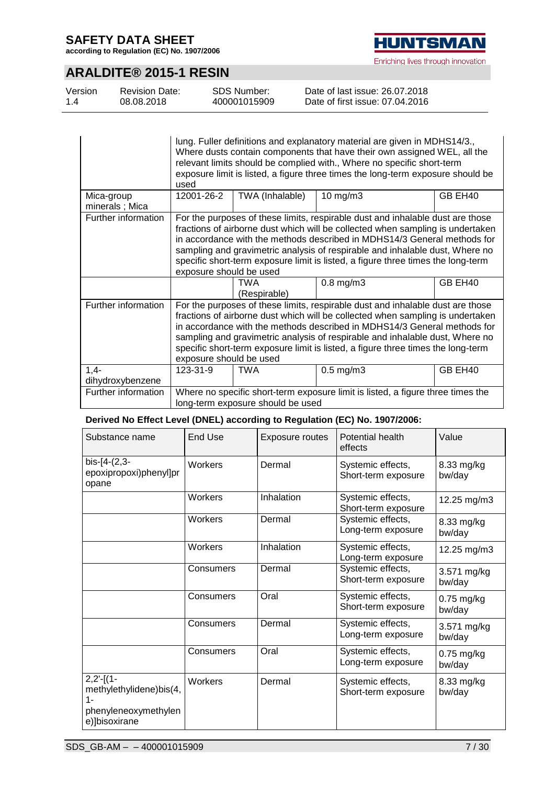**according to Regulation (EC) No. 1907/2006**



Enriching lives through innovation

# **ARALDITE® 2015-1 RESIN**

| Version | <b>Revision Date:</b> | SDS Number:  | Date of last issue: 26.07.2018  |
|---------|-----------------------|--------------|---------------------------------|
| 1.4     | 08.08.2018            | 400001015909 | Date of first issue: 07.04.2016 |

|                              | used                                                                                                                                                                                                                                                                                                                                                                                                                                        |                 | lung. Fuller definitions and explanatory material are given in MDHS14/3.,<br>Where dusts contain components that have their own assigned WEL, all the<br>relevant limits should be complied with., Where no specific short-term<br>exposure limit is listed, a figure three times the long-term exposure should be |         |
|------------------------------|---------------------------------------------------------------------------------------------------------------------------------------------------------------------------------------------------------------------------------------------------------------------------------------------------------------------------------------------------------------------------------------------------------------------------------------------|-----------------|--------------------------------------------------------------------------------------------------------------------------------------------------------------------------------------------------------------------------------------------------------------------------------------------------------------------|---------|
| Mica-group<br>minerals; Mica | 12001-26-2                                                                                                                                                                                                                                                                                                                                                                                                                                  | TWA (Inhalable) | $10$ mg/m $3$                                                                                                                                                                                                                                                                                                      | GB EH40 |
| Further information          | For the purposes of these limits, respirable dust and inhalable dust are those<br>fractions of airborne dust which will be collected when sampling is undertaken<br>in accordance with the methods described in MDHS14/3 General methods for<br>sampling and gravimetric analysis of respirable and inhalable dust, Where no<br>specific short-term exposure limit is listed, a figure three times the long-term<br>exposure should be used |                 |                                                                                                                                                                                                                                                                                                                    |         |
|                              | $0.8$ mg/m $3$<br>TWA<br>GB EH40<br>(Respirable)                                                                                                                                                                                                                                                                                                                                                                                            |                 |                                                                                                                                                                                                                                                                                                                    |         |
| Further information          | For the purposes of these limits, respirable dust and inhalable dust are those<br>fractions of airborne dust which will be collected when sampling is undertaken<br>in accordance with the methods described in MDHS14/3 General methods for<br>sampling and gravimetric analysis of respirable and inhalable dust, Where no<br>specific short-term exposure limit is listed, a figure three times the long-term<br>exposure should be used |                 |                                                                                                                                                                                                                                                                                                                    |         |
| $1,4-$<br>dihydroxybenzene   | 123-31-9                                                                                                                                                                                                                                                                                                                                                                                                                                    | <b>TWA</b>      | $0.5$ mg/m $3$                                                                                                                                                                                                                                                                                                     | GB EH40 |
| Further information          | Where no specific short-term exposure limit is listed, a figure three times the<br>long-term exposure should be used                                                                                                                                                                                                                                                                                                                        |                 |                                                                                                                                                                                                                                                                                                                    |         |

### **Derived No Effect Level (DNEL) according to Regulation (EC) No. 1907/2006:**

| Substance name                                                                            | <b>End Use</b> | <b>Exposure routes</b> | Potential health<br>effects              | Value                  |
|-------------------------------------------------------------------------------------------|----------------|------------------------|------------------------------------------|------------------------|
| bis-[4-(2,3-<br>epoxipropoxi)phenyl]pr<br>opane                                           | Workers        | Dermal                 | Systemic effects,<br>Short-term exposure | 8.33 mg/kg<br>bw/day   |
|                                                                                           | Workers        | Inhalation             | Systemic effects,<br>Short-term exposure | 12.25 mg/m3            |
|                                                                                           | Workers        | Dermal                 | Systemic effects,<br>Long-term exposure  | 8.33 mg/kg<br>bw/day   |
|                                                                                           | Workers        | Inhalation             | Systemic effects,<br>Long-term exposure  | 12.25 mg/m3            |
|                                                                                           | Consumers      | Dermal                 | Systemic effects,<br>Short-term exposure | 3.571 mg/kg<br>bw/day  |
|                                                                                           | Consumers      | Oral                   | Systemic effects,<br>Short-term exposure | $0.75$ mg/kg<br>bw/day |
|                                                                                           | Consumers      | Dermal                 | Systemic effects,<br>Long-term exposure  | 3.571 mg/kg<br>bw/day  |
|                                                                                           | Consumers      | Oral                   | Systemic effects,<br>Long-term exposure  | $0.75$ mg/kg<br>bw/day |
| $2,2'$ -[(1-<br>methylethylidene)bis(4,<br>$1 -$<br>phenyleneoxymethylen<br>e)]bisoxirane | Workers        | Dermal                 | Systemic effects,<br>Short-term exposure | 8.33 mg/kg<br>bw/day   |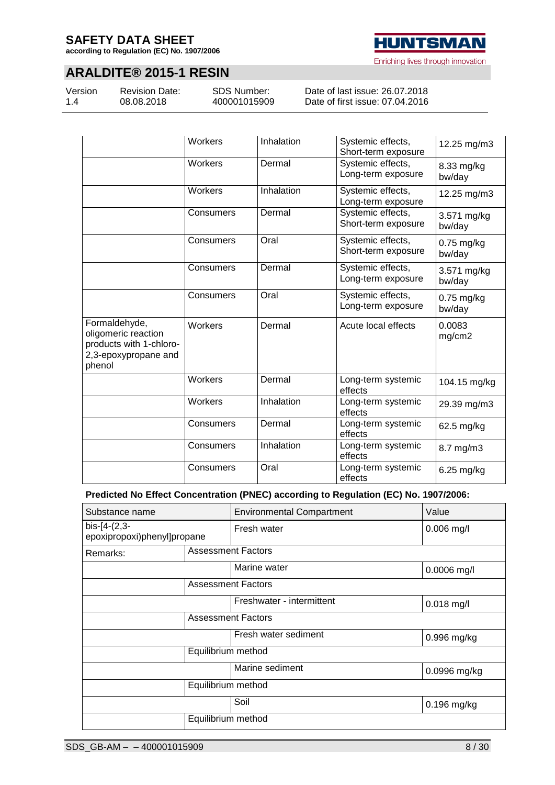**according to Regulation (EC) No. 1907/2006**

# **HUNTSMAN** Enriching lives through innovation

### **ARALDITE® 2015-1 RESIN**

Version 1.4

Revision Date: 08.08.2018

SDS Number: 400001015909

Date of last issue: 26.07.2018 Date of first issue: 07.04.2016

|                                                                                                   | Workers   | Inhalation | Systemic effects,<br>Short-term exposure | 12.25 mg/m3            |
|---------------------------------------------------------------------------------------------------|-----------|------------|------------------------------------------|------------------------|
|                                                                                                   | Workers   | Dermal     | Systemic effects,<br>Long-term exposure  | 8.33 mg/kg<br>bw/day   |
|                                                                                                   | Workers   | Inhalation | Systemic effects,<br>Long-term exposure  | 12.25 mg/m3            |
|                                                                                                   | Consumers | Dermal     | Systemic effects,<br>Short-term exposure | 3.571 mg/kg<br>bw/day  |
|                                                                                                   | Consumers | Oral       | Systemic effects,<br>Short-term exposure | $0.75$ mg/kg<br>bw/day |
|                                                                                                   | Consumers | Dermal     | Systemic effects,<br>Long-term exposure  | 3.571 mg/kg<br>bw/day  |
|                                                                                                   | Consumers | Oral       | Systemic effects,<br>Long-term exposure  | 0.75 mg/kg<br>bw/day   |
| Formaldehyde,<br>oligomeric reaction<br>products with 1-chloro-<br>2,3-epoxypropane and<br>phenol | Workers   | Dermal     | Acute local effects                      | 0.0083<br>mg/cm2       |
|                                                                                                   | Workers   | Dermal     | Long-term systemic<br>effects            | 104.15 mg/kg           |
|                                                                                                   | Workers   | Inhalation | Long-term systemic<br>effects            | 29.39 mg/m3            |
|                                                                                                   | Consumers | Dermal     | Long-term systemic<br>effects            | 62.5 mg/kg             |
|                                                                                                   | Consumers | Inhalation | Long-term systemic<br>effects            | 8.7 mg/m3              |
|                                                                                                   | Consumers | Oral       | Long-term systemic<br>effects            | 6.25 mg/kg             |

**Predicted No Effect Concentration (PNEC) according to Regulation (EC) No. 1907/2006:**

| Substance name                                |                    | <b>Environmental Compartment</b> | Value         |
|-----------------------------------------------|--------------------|----------------------------------|---------------|
| $bis-[4-(2,3-$<br>epoxipropoxi)phenyl]propane |                    | Fresh water                      | $0.006$ mg/l  |
| Remarks:                                      |                    | <b>Assessment Factors</b>        |               |
|                                               |                    | Marine water                     | $0.0006$ mg/l |
|                                               |                    | <b>Assessment Factors</b>        |               |
|                                               |                    | Freshwater - intermittent        | $0.018$ mg/l  |
|                                               |                    | <b>Assessment Factors</b>        |               |
|                                               |                    | Fresh water sediment             | 0.996 mg/kg   |
|                                               | Equilibrium method |                                  |               |
|                                               |                    | Marine sediment                  | 0.0996 mg/kg  |
|                                               | Equilibrium method |                                  |               |
|                                               |                    | Soil                             | 0.196 mg/kg   |
|                                               | Equilibrium method |                                  |               |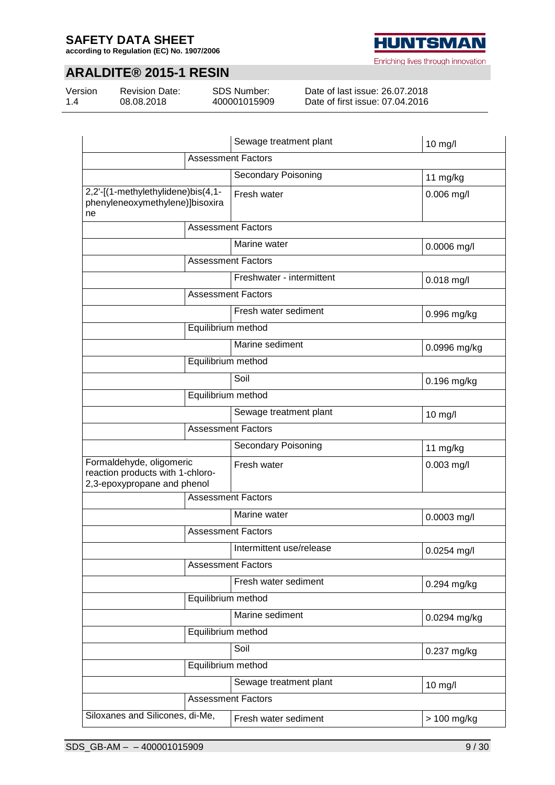**according to Regulation (EC) No. 1907/2006**

# **ARALDITE® 2015-1 RESIN**

Version 1.4

Revision Date: 08.08.2018

SDS Number: 400001015909

Date of last issue: 26.07.2018 Date of first issue: 07.04.2016

|                                                                                             | Sewage treatment plant     | 10 mg/l       |
|---------------------------------------------------------------------------------------------|----------------------------|---------------|
|                                                                                             | <b>Assessment Factors</b>  |               |
|                                                                                             | <b>Secondary Poisoning</b> | 11 mg/kg      |
| 2,2'-[(1-methylethylidene)bis(4,1-<br>phenyleneoxymethylene)]bisoxira<br>ne                 | Fresh water                | $0.006$ mg/l  |
|                                                                                             | <b>Assessment Factors</b>  |               |
|                                                                                             | Marine water               | 0.0006 mg/l   |
|                                                                                             | <b>Assessment Factors</b>  |               |
|                                                                                             | Freshwater - intermittent  | $0.018$ mg/l  |
|                                                                                             | <b>Assessment Factors</b>  |               |
|                                                                                             | Fresh water sediment       | 0.996 mg/kg   |
| Equilibrium method                                                                          |                            |               |
|                                                                                             | Marine sediment            | 0.0996 mg/kg  |
| Equilibrium method                                                                          |                            |               |
|                                                                                             | Soil                       | $0.196$ mg/kg |
| Equilibrium method                                                                          |                            |               |
|                                                                                             | Sewage treatment plant     | $10$ mg/l     |
|                                                                                             | Assessment Factors         |               |
|                                                                                             | Secondary Poisoning        | 11 mg/kg      |
| Formaldehyde, oligomeric<br>reaction products with 1-chloro-<br>2,3-epoxypropane and phenol | Fresh water                | $0.003$ mg/l  |
|                                                                                             | <b>Assessment Factors</b>  |               |
|                                                                                             | Marine water               | 0.0003 mg/l   |
|                                                                                             | <b>Assessment Factors</b>  |               |
|                                                                                             | Intermittent use/release   | 0.0254 mg/l   |
|                                                                                             | <b>Assessment Factors</b>  |               |
|                                                                                             | Fresh water sediment       | $0.294$ mg/kg |
| Equilibrium method                                                                          |                            |               |
|                                                                                             | Marine sediment            | 0.0294 mg/kg  |
| Equilibrium method                                                                          |                            |               |
|                                                                                             | Soil                       | 0.237 mg/kg   |
| Equilibrium method                                                                          |                            |               |
|                                                                                             | Sewage treatment plant     | 10 mg/l       |
|                                                                                             | <b>Assessment Factors</b>  |               |
| Siloxanes and Silicones, di-Me,                                                             | Fresh water sediment       | > 100 mg/kg   |

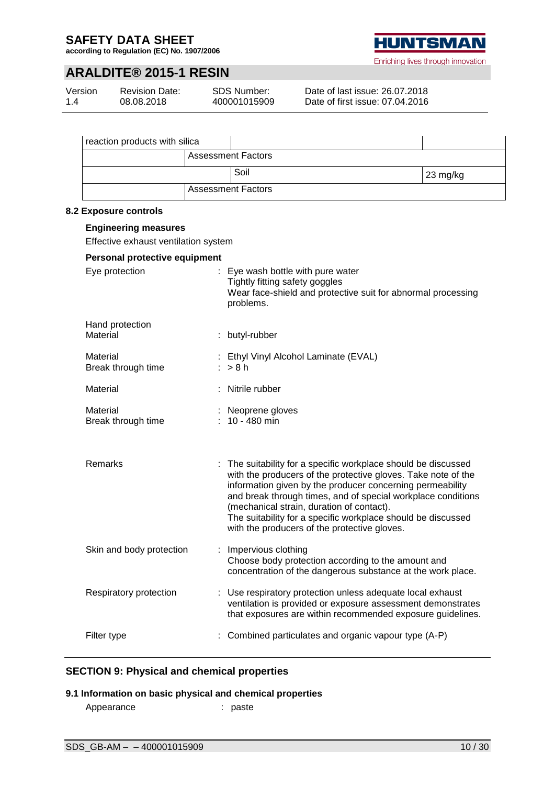**according to Regulation (EC) No. 1907/2006**



Enriching lives through innovation

# **ARALDITE® 2015-1 RESIN**

| Version | <b>Revision Date:</b> | <b>SDS Number:</b> |
|---------|-----------------------|--------------------|
| 1.4     | 08.08.2018            | 400001015909       |

Date of last issue: 26.07.2018 Date of first issue: 07.04.2016

| Soil<br>23 mg/kg<br><b>Assessment Factors</b><br>Eye wash bottle with pure water<br>Tightly fitting safety goggles<br>Wear face-shield and protective suit for abnormal processing<br>problems.<br>butyl-rubber<br>Ethyl Vinyl Alcohol Laminate (EVAL)<br>> 8 h<br>Nitrile rubber<br>Neoprene gloves<br>10 - 480 min<br>The suitability for a specific workplace should be discussed<br>with the producers of the protective gloves. Take note of the<br>information given by the producer concerning permeability<br>and break through times, and of special workplace conditions<br>(mechanical strain, duration of contact).<br>The suitability for a specific workplace should be discussed<br>with the producers of the protective gloves.<br>Impervious clothing<br>Choose body protection according to the amount and<br>concentration of the dangerous substance at the work place.<br>: Use respiratory protection unless adequate local exhaust<br>ventilation is provided or exposure assessment demonstrates<br>that exposures are within recommended exposure guidelines.<br>Combined particulates and organic vapour type (A-P) | <b>Assessment Factors</b> |  |
|-----------------------------------------------------------------------------------------------------------------------------------------------------------------------------------------------------------------------------------------------------------------------------------------------------------------------------------------------------------------------------------------------------------------------------------------------------------------------------------------------------------------------------------------------------------------------------------------------------------------------------------------------------------------------------------------------------------------------------------------------------------------------------------------------------------------------------------------------------------------------------------------------------------------------------------------------------------------------------------------------------------------------------------------------------------------------------------------------------------------------------------------------|---------------------------|--|
| <b>Engineering measures</b><br>Effective exhaust ventilation system<br>Personal protective equipment<br>Eye protection<br>Hand protection<br>Material<br>Material<br>Break through time<br>Material<br>Material<br>Break through time<br>Remarks<br>Skin and body protection<br>Respiratory protection<br>Filter type                                                                                                                                                                                                                                                                                                                                                                                                                                                                                                                                                                                                                                                                                                                                                                                                                         |                           |  |
|                                                                                                                                                                                                                                                                                                                                                                                                                                                                                                                                                                                                                                                                                                                                                                                                                                                                                                                                                                                                                                                                                                                                               |                           |  |
| 8.2 Exposure controls                                                                                                                                                                                                                                                                                                                                                                                                                                                                                                                                                                                                                                                                                                                                                                                                                                                                                                                                                                                                                                                                                                                         |                           |  |
|                                                                                                                                                                                                                                                                                                                                                                                                                                                                                                                                                                                                                                                                                                                                                                                                                                                                                                                                                                                                                                                                                                                                               |                           |  |
|                                                                                                                                                                                                                                                                                                                                                                                                                                                                                                                                                                                                                                                                                                                                                                                                                                                                                                                                                                                                                                                                                                                                               |                           |  |
|                                                                                                                                                                                                                                                                                                                                                                                                                                                                                                                                                                                                                                                                                                                                                                                                                                                                                                                                                                                                                                                                                                                                               |                           |  |
|                                                                                                                                                                                                                                                                                                                                                                                                                                                                                                                                                                                                                                                                                                                                                                                                                                                                                                                                                                                                                                                                                                                                               |                           |  |
|                                                                                                                                                                                                                                                                                                                                                                                                                                                                                                                                                                                                                                                                                                                                                                                                                                                                                                                                                                                                                                                                                                                                               |                           |  |
|                                                                                                                                                                                                                                                                                                                                                                                                                                                                                                                                                                                                                                                                                                                                                                                                                                                                                                                                                                                                                                                                                                                                               |                           |  |
|                                                                                                                                                                                                                                                                                                                                                                                                                                                                                                                                                                                                                                                                                                                                                                                                                                                                                                                                                                                                                                                                                                                                               |                           |  |
|                                                                                                                                                                                                                                                                                                                                                                                                                                                                                                                                                                                                                                                                                                                                                                                                                                                                                                                                                                                                                                                                                                                                               |                           |  |
|                                                                                                                                                                                                                                                                                                                                                                                                                                                                                                                                                                                                                                                                                                                                                                                                                                                                                                                                                                                                                                                                                                                                               |                           |  |
|                                                                                                                                                                                                                                                                                                                                                                                                                                                                                                                                                                                                                                                                                                                                                                                                                                                                                                                                                                                                                                                                                                                                               |                           |  |
|                                                                                                                                                                                                                                                                                                                                                                                                                                                                                                                                                                                                                                                                                                                                                                                                                                                                                                                                                                                                                                                                                                                                               |                           |  |
|                                                                                                                                                                                                                                                                                                                                                                                                                                                                                                                                                                                                                                                                                                                                                                                                                                                                                                                                                                                                                                                                                                                                               |                           |  |
|                                                                                                                                                                                                                                                                                                                                                                                                                                                                                                                                                                                                                                                                                                                                                                                                                                                                                                                                                                                                                                                                                                                                               |                           |  |

### **SECTION 9: Physical and chemical properties**

#### **9.1 Information on basic physical and chemical properties**

| Appearance | : paste |
|------------|---------|
|            |         |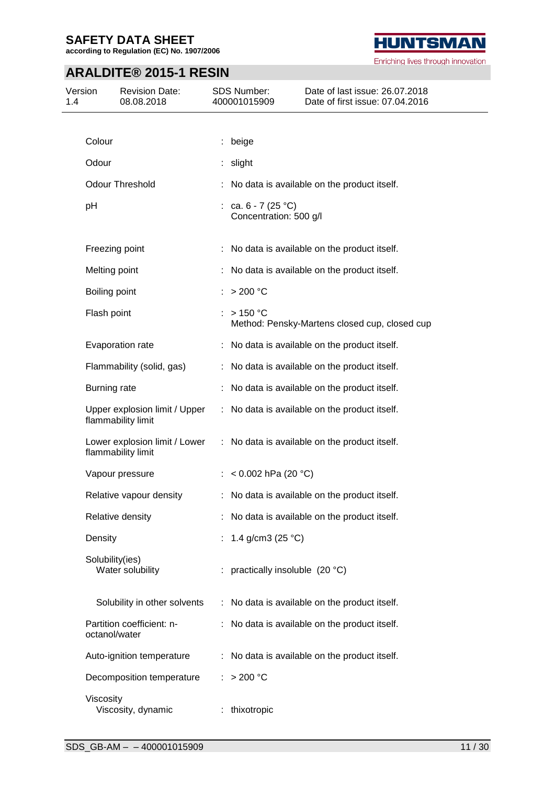**according to Regulation (EC) No. 1907/2006**

# **ARALDITE® 2015-1 RESIN**

| Version<br>1.4 |                     | <b>Revision Date:</b><br>08.08.2018                 | SDS Number:<br>400001015909                     | Date of last issue: 26.07.2018<br>Date of first issue: 07.04.2016 |
|----------------|---------------------|-----------------------------------------------------|-------------------------------------------------|-------------------------------------------------------------------|
|                |                     |                                                     |                                                 |                                                                   |
|                | Colour              |                                                     | : beige                                         |                                                                   |
|                | Odour               |                                                     | slight                                          |                                                                   |
|                |                     | <b>Odour Threshold</b>                              |                                                 | No data is available on the product itself.                       |
|                | pH                  |                                                     | : ca. $6 - 7$ (25 °C)<br>Concentration: 500 g/l |                                                                   |
|                | Freezing point      |                                                     |                                                 | : No data is available on the product itself.                     |
|                | Melting point       |                                                     |                                                 | No data is available on the product itself.                       |
|                | Boiling point       |                                                     | $>$ 200 °C                                      |                                                                   |
|                | Flash point         |                                                     | >150 °C                                         | Method: Pensky-Martens closed cup, closed cup                     |
|                |                     | Evaporation rate                                    |                                                 | : No data is available on the product itself.                     |
|                |                     | Flammability (solid, gas)                           |                                                 | : No data is available on the product itself.                     |
|                | <b>Burning rate</b> |                                                     |                                                 | No data is available on the product itself.                       |
|                |                     | Upper explosion limit / Upper<br>flammability limit |                                                 | : No data is available on the product itself.                     |
|                |                     | Lower explosion limit / Lower<br>flammability limit |                                                 | : No data is available on the product itself.                     |
|                |                     | Vapour pressure                                     | : < $0.002$ hPa (20 °C)                         |                                                                   |
|                |                     | Relative vapour density                             |                                                 | : No data is available on the product itself.                     |
|                |                     | Relative density                                    |                                                 | No data is available on the product itself.                       |
|                | Density             |                                                     | : $1.4$ g/cm3 (25 °C)                           |                                                                   |
|                | Solubility(ies)     | Water solubility                                    | : practically insoluble (20 °C)                 |                                                                   |
|                |                     | Solubility in other solvents                        |                                                 | : No data is available on the product itself.                     |
|                | octanol/water       | Partition coefficient: n-                           |                                                 | : No data is available on the product itself.                     |
|                |                     | Auto-ignition temperature                           |                                                 | : No data is available on the product itself.                     |
|                |                     | Decomposition temperature                           | : $> 200 °C$                                    |                                                                   |
|                | Viscosity           | Viscosity, dynamic                                  | thixotropic                                     |                                                                   |

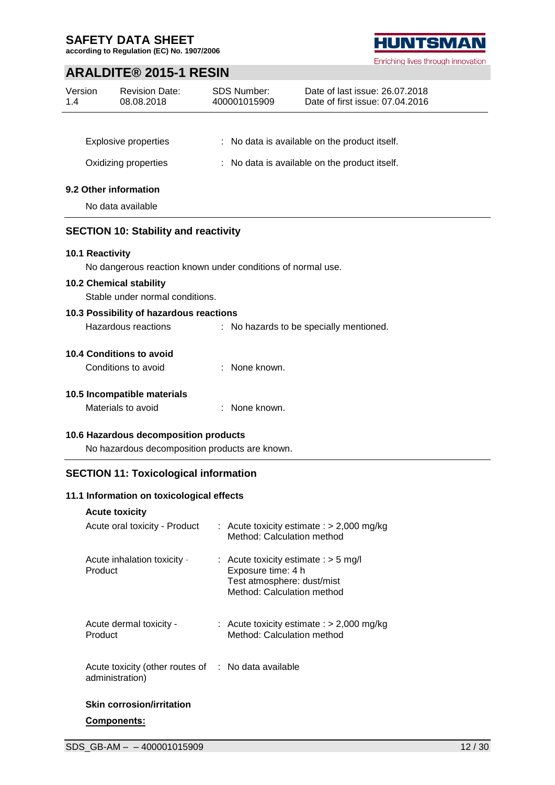L.

Ĭ.

**according to Regulation (EC) No. 1907/2006**

## **ARALDITE® 2015-1 RESIN**

| Version<br>1.4  | <b>Revision Date:</b><br>08.08.2018         | SDS Number:<br>400001015909                                 | Date of last issue: 26.07.2018<br>Date of first issue: 07.04.2016 |  |
|-----------------|---------------------------------------------|-------------------------------------------------------------|-------------------------------------------------------------------|--|
|                 |                                             |                                                             |                                                                   |  |
|                 | <b>Explosive properties</b>                 |                                                             | : No data is available on the product itself.                     |  |
|                 | Oxidizing properties                        |                                                             | : No data is available on the product itself.                     |  |
|                 | 9.2 Other information                       |                                                             |                                                                   |  |
|                 | No data available                           |                                                             |                                                                   |  |
|                 | <b>SECTION 10: Stability and reactivity</b> |                                                             |                                                                   |  |
| 10.1 Reactivity |                                             |                                                             |                                                                   |  |
|                 |                                             | No dangerous reaction known under conditions of normal use. |                                                                   |  |
|                 | 10.2 Chemical stability                     |                                                             |                                                                   |  |
|                 | Stable under normal conditions.             |                                                             |                                                                   |  |
|                 | 10.3 Possibility of hazardous reactions     |                                                             |                                                                   |  |
|                 | Hazardous reactions                         |                                                             | : No hazards to be specially mentioned.                           |  |
|                 | 10.4 Conditions to avoid                    |                                                             |                                                                   |  |
|                 | Conditions to avoid                         | : None known.                                               |                                                                   |  |
|                 | 10.5 Incompatible materials                 |                                                             |                                                                   |  |
|                 | Materials to avoid                          | : None known.                                               |                                                                   |  |
|                 | 10.6 Hazardous decomposition products       |                                                             |                                                                   |  |
|                 |                                             | No hazardous decomposition products are known.              |                                                                   |  |

### **SECTION 11: Toxicological information**

### **11.1 Information on toxicological effects**

| <b>Acute toxicity</b>                              |                                                                                                                          |  |
|----------------------------------------------------|--------------------------------------------------------------------------------------------------------------------------|--|
| Acute oral toxicity - Product                      | : Acute toxicity estimate : $> 2,000$ mg/kg<br>Method: Calculation method                                                |  |
| Acute inhalation toxicity -<br>Product             | : Acute toxicity estimate : $>$ 5 mg/l<br>Exposure time: 4 h<br>Test atmosphere: dust/mist<br>Method: Calculation method |  |
| Acute dermal toxicity -<br>Product                 | : Acute toxicity estimate : $>$ 2,000 mg/kg<br>Method: Calculation method                                                |  |
| Acute toxicity (other routes of<br>administration) | $:$ No data available                                                                                                    |  |

# **Skin corrosion/irritation**

### **Components:**

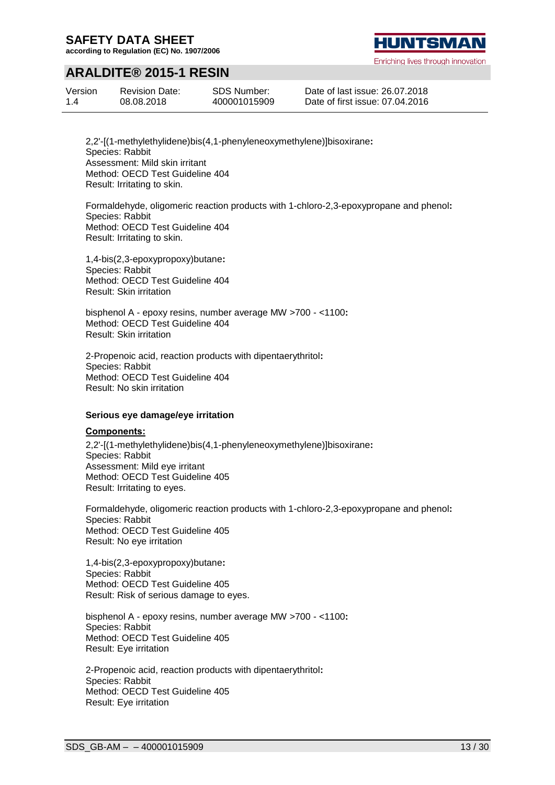**according to Regulation (EC) No. 1907/2006**

# **ARALDITE® 2015-1 RESIN**

| Version | <b>Revision Date:</b> |
|---------|-----------------------|
| 1.4     | 08.08.2018            |

SDS Number: 400001015909 **HUNTSMA** 

Enriching lives through innovation

Date of last issue: 26.07.2018 Date of first issue: 07.04.2016

2,2'-[(1-methylethylidene)bis(4,1-phenyleneoxymethylene)]bisoxirane**:** Species: Rabbit Assessment: Mild skin irritant Method: OECD Test Guideline 404 Result: Irritating to skin.

Formaldehyde, oligomeric reaction products with 1-chloro-2,3-epoxypropane and phenol**:** Species: Rabbit Method: OECD Test Guideline 404 Result: Irritating to skin.

1,4-bis(2,3-epoxypropoxy)butane**:** Species: Rabbit Method: OECD Test Guideline 404 Result: Skin irritation

bisphenol A - epoxy resins, number average MW >700 - <1100**:** Method: OECD Test Guideline 404 Result: Skin irritation

2-Propenoic acid, reaction products with dipentaerythritol**:** Species: Rabbit Method: OECD Test Guideline 404 Result: No skin irritation

#### **Serious eye damage/eye irritation**

#### **Components:**

2,2'-[(1-methylethylidene)bis(4,1-phenyleneoxymethylene)]bisoxirane**:** Species: Rabbit Assessment: Mild eye irritant Method: OECD Test Guideline 405 Result: Irritating to eyes.

Formaldehyde, oligomeric reaction products with 1-chloro-2,3-epoxypropane and phenol**:** Species: Rabbit Method: OECD Test Guideline 405 Result: No eye irritation

1,4-bis(2,3-epoxypropoxy)butane**:** Species: Rabbit Method: OECD Test Guideline 405 Result: Risk of serious damage to eyes.

bisphenol A - epoxy resins, number average MW >700 - <1100**:** Species: Rabbit Method: OECD Test Guideline 405 Result: Eye irritation

2-Propenoic acid, reaction products with dipentaerythritol**:** Species: Rabbit Method: OECD Test Guideline 405 Result: Eye irritation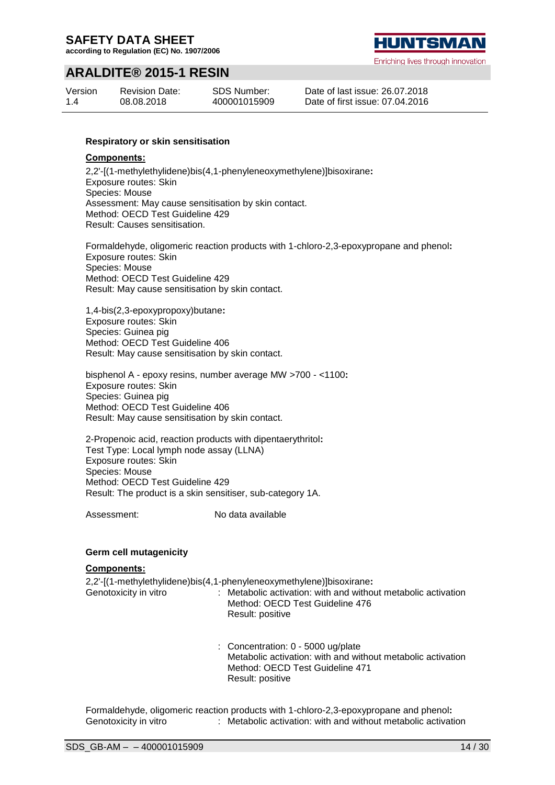**according to Regulation (EC) No. 1907/2006**



Enriching lives through innovation

# **ARALDITE® 2015-1 RESIN**

| Version | <b>Revision Date:</b> | SDS Number:  |
|---------|-----------------------|--------------|
| 1.4     | 08.08.2018            | 400001015909 |

Date of last issue: 26.07.2018 Date of first issue: 07.04.2016

#### **Respiratory or skin sensitisation**

#### **Components:**

2,2'-[(1-methylethylidene)bis(4,1-phenyleneoxymethylene)]bisoxirane**:** Exposure routes: Skin Species: Mouse Assessment: May cause sensitisation by skin contact. Method: OECD Test Guideline 429 Result: Causes sensitisation.

Formaldehyde, oligomeric reaction products with 1-chloro-2,3-epoxypropane and phenol**:** Exposure routes: Skin Species: Mouse Method: OECD Test Guideline 429 Result: May cause sensitisation by skin contact.

1,4-bis(2,3-epoxypropoxy)butane**:** Exposure routes: Skin Species: Guinea pig Method: OECD Test Guideline 406 Result: May cause sensitisation by skin contact.

bisphenol A - epoxy resins, number average MW >700 - <1100**:** Exposure routes: Skin Species: Guinea pig Method: OECD Test Guideline 406 Result: May cause sensitisation by skin contact.

2-Propenoic acid, reaction products with dipentaerythritol**:** Test Type: Local lymph node assay (LLNA) Exposure routes: Skin Species: Mouse Method: OECD Test Guideline 429 Result: The product is a skin sensitiser, sub-category 1A.

Assessment: No data available

#### **Germ cell mutagenicity**

#### **Components:**

| Genotoxicity in vitro | 2,2'-[(1-methylethylidene)bis(4,1-phenyleneoxymethylene)]bisoxirane:<br>: Metabolic activation: with and without metabolic activation<br>Method: OECD Test Guideline 476<br>Result: positive |
|-----------------------|----------------------------------------------------------------------------------------------------------------------------------------------------------------------------------------------|
|                       | : Concentration: 0 - 5000 ug/plate<br>Metabolic activation: with and without metabolic activation<br>Method: OECD Test Guideline 471<br>Result: positive                                     |

Formaldehyde, oligomeric reaction products with 1-chloro-2,3-epoxypropane and phenol**:** Genotoxicity in vitro : Metabolic activation: with and without metabolic activation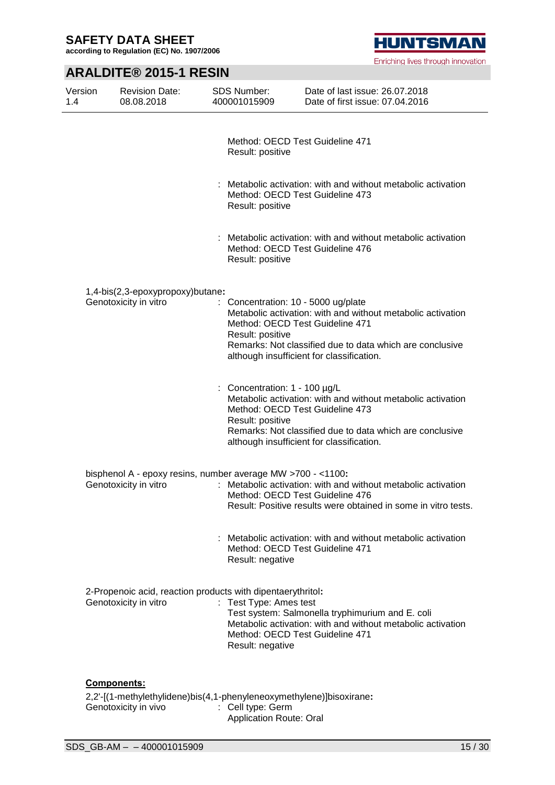**according to Regulation (EC) No. 1907/2006**

# **HUNTSMAN**

Enriching lives through innovation

# **ARALDITE® 2015-1 RESIN**

| Version<br>1.4 | <b>Revision Date:</b><br>08.08.2018                                                  | SDS Number:<br>400001015909                         | Date of last issue: 26.07.2018<br>Date of first issue: 07.04.2016                                                                                                                                                                              |
|----------------|--------------------------------------------------------------------------------------|-----------------------------------------------------|------------------------------------------------------------------------------------------------------------------------------------------------------------------------------------------------------------------------------------------------|
|                |                                                                                      | Result: positive                                    | Method: OECD Test Guideline 471                                                                                                                                                                                                                |
|                |                                                                                      | Result: positive                                    | : Metabolic activation: with and without metabolic activation<br>Method: OECD Test Guideline 473                                                                                                                                               |
|                |                                                                                      | Result: positive                                    | : Metabolic activation: with and without metabolic activation<br>Method: OECD Test Guideline 476                                                                                                                                               |
|                | 1,4-bis(2,3-epoxypropoxy)butane:                                                     |                                                     |                                                                                                                                                                                                                                                |
|                | Genotoxicity in vitro                                                                | Result: positive                                    | : Concentration: 10 - 5000 ug/plate<br>Metabolic activation: with and without metabolic activation<br>Method: OECD Test Guideline 471<br>Remarks: Not classified due to data which are conclusive<br>although insufficient for classification. |
|                |                                                                                      | : Concentration: $1 - 100$ µg/L<br>Result: positive | Metabolic activation: with and without metabolic activation<br>Method: OECD Test Guideline 473<br>Remarks: Not classified due to data which are conclusive<br>although insufficient for classification.                                        |
|                | bisphenol A - epoxy resins, number average MW >700 - <1100:<br>Genotoxicity in vitro |                                                     | : Metabolic activation: with and without metabolic activation<br>Method: OECD Test Guideline 476<br>Result: Positive results were obtained in some in vitro tests.                                                                             |
|                |                                                                                      | Result: negative                                    | : Metabolic activation: with and without metabolic activation<br>Method: OECD Test Guideline 471                                                                                                                                               |
|                | 2-Propenoic acid, reaction products with dipentaerythritol:<br>Genotoxicity in vitro | : Test Type: Ames test<br>Result: negative          | Test system: Salmonella tryphimurium and E. coli<br>Metabolic activation: with and without metabolic activation<br>Method: OECD Test Guideline 471                                                                                             |
|                | <b>Components:</b>                                                                   |                                                     |                                                                                                                                                                                                                                                |

2,2'-[(1-methylethylidene)bis(4,1-phenyleneoxymethylene)]bisoxirane**:** Genotoxicity in vivo : Cell type: Germ Application Route: Oral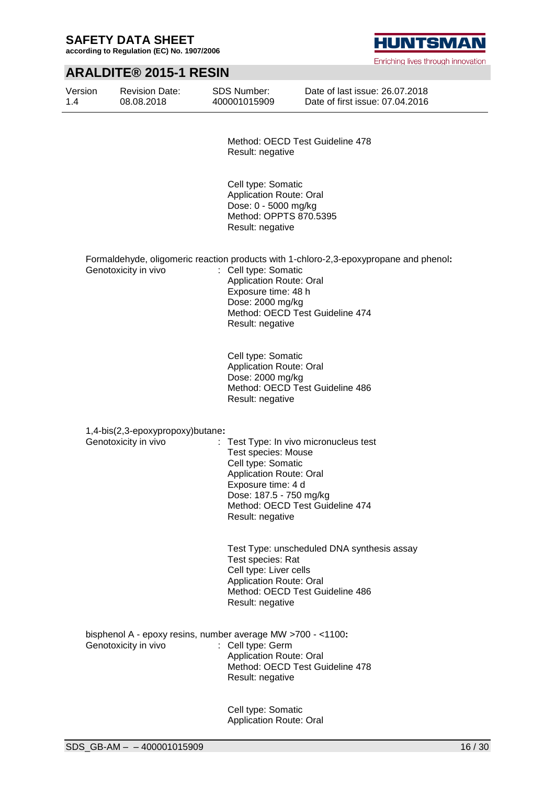**according to Regulation (EC) No. 1907/2006**

# **ARALDITE® 2015-1 RESIN**

| Version<br>1.4 | <b>Revision Date:</b><br>08.08.2018                                                 | <b>SDS Number:</b><br>400001015909                                                                                                                      | Date of last issue: 26.07.2018<br>Date of first issue: 07.04.2016                                                        |
|----------------|-------------------------------------------------------------------------------------|---------------------------------------------------------------------------------------------------------------------------------------------------------|--------------------------------------------------------------------------------------------------------------------------|
|                |                                                                                     | Result: negative                                                                                                                                        | Method: OECD Test Guideline 478                                                                                          |
|                |                                                                                     | Cell type: Somatic<br><b>Application Route: Oral</b><br>Dose: 0 - 5000 mg/kg<br>Method: OPPTS 870.5395<br>Result: negative                              |                                                                                                                          |
|                | Genotoxicity in vivo                                                                | : Cell type: Somatic<br><b>Application Route: Oral</b><br>Exposure time: 48 h<br>Dose: 2000 mg/kg<br>Result: negative                                   | Formaldehyde, oligomeric reaction products with 1-chloro-2,3-epoxypropane and phenol:<br>Method: OECD Test Guideline 474 |
|                |                                                                                     | Cell type: Somatic<br><b>Application Route: Oral</b><br>Dose: 2000 mg/kg<br>Result: negative                                                            | Method: OECD Test Guideline 486                                                                                          |
|                | 1,4-bis(2,3-epoxypropoxy)butane:                                                    |                                                                                                                                                         |                                                                                                                          |
|                | Genotoxicity in vivo                                                                | <b>Test species: Mouse</b><br>Cell type: Somatic<br><b>Application Route: Oral</b><br>Exposure time: 4 d<br>Dose: 187.5 - 750 mg/kg<br>Result: negative | : Test Type: In vivo micronucleus test<br>Method: OECD Test Guideline 474                                                |
|                |                                                                                     | Test species: Rat<br>Cell type: Liver cells<br><b>Application Route: Oral</b><br>Result: negative                                                       | Test Type: unscheduled DNA synthesis assay<br>Method: OECD Test Guideline 486                                            |
|                | bisphenol A - epoxy resins, number average MW >700 - <1100:<br>Genotoxicity in vivo | : Cell type: Germ<br><b>Application Route: Oral</b><br>Result: negative                                                                                 | Method: OECD Test Guideline 478                                                                                          |
|                |                                                                                     | Cell type: Somatic                                                                                                                                      |                                                                                                                          |

Application Route: Oral



Enriching lives through innovation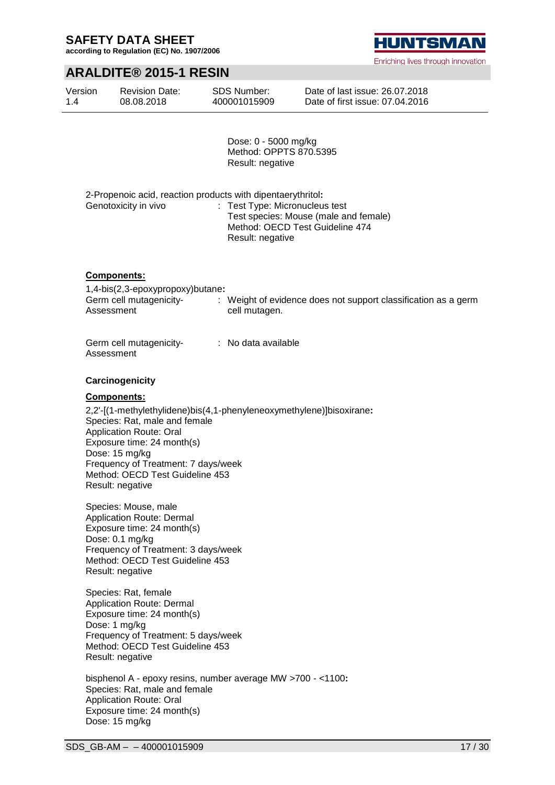**according to Regulation (EC) No. 1907/2006**

### **ARALDITE® 2015-1 RESIN**

| Version | <b>Revision Date:</b> | SDS Number:  | Date of last issue: 26  |
|---------|-----------------------|--------------|-------------------------|
| 1.4     | 08.08.2018            | 400001015909 | Date of first issue: 07 |

Dose: 0 - 5000 mg/kg Method: OPPTS 870.5395 Result: negative

| 2-Propenoic acid, reaction products with dipentaerythritol: |                                       |
|-------------------------------------------------------------|---------------------------------------|
| Genotoxicity in vivo                                        | : Test Type: Micronucleus test        |
|                                                             | Test species: Mouse (male and female) |
|                                                             | Method: OECD Test Guideline 474       |
|                                                             | Result: negative                      |

#### **Components:**

| 1,4-bis(2,3-epoxypropoxy)butane: |                                                                |
|----------------------------------|----------------------------------------------------------------|
| Germ cell mutagenicity-          | : Weight of evidence does not support classification as a germ |
| Assessment                       | cell mutagen.                                                  |
|                                  |                                                                |

| Germ cell mutagenicity- | : No data available |
|-------------------------|---------------------|
| Assessment              |                     |

#### **Carcinogenicity**

#### **Components:**

2,2'-[(1-methylethylidene)bis(4,1-phenyleneoxymethylene)]bisoxirane**:** Species: Rat, male and female Application Route: Oral Exposure time: 24 month(s) Dose: 15 mg/kg Frequency of Treatment: 7 days/week Method: OECD Test Guideline 453 Result: negative

Species: Mouse, male Application Route: Dermal Exposure time: 24 month(s) Dose: 0.1 mg/kg Frequency of Treatment: 3 days/week Method: OECD Test Guideline 453 Result: negative

Species: Rat, female Application Route: Dermal Exposure time: 24 month(s) Dose: 1 mg/kg Frequency of Treatment: 5 days/week Method: OECD Test Guideline 453 Result: negative

bisphenol A - epoxy resins, number average MW >700 - <1100**:** Species: Rat, male and female Application Route: Oral Exposure time: 24 month(s) Dose: 15 mg/kg

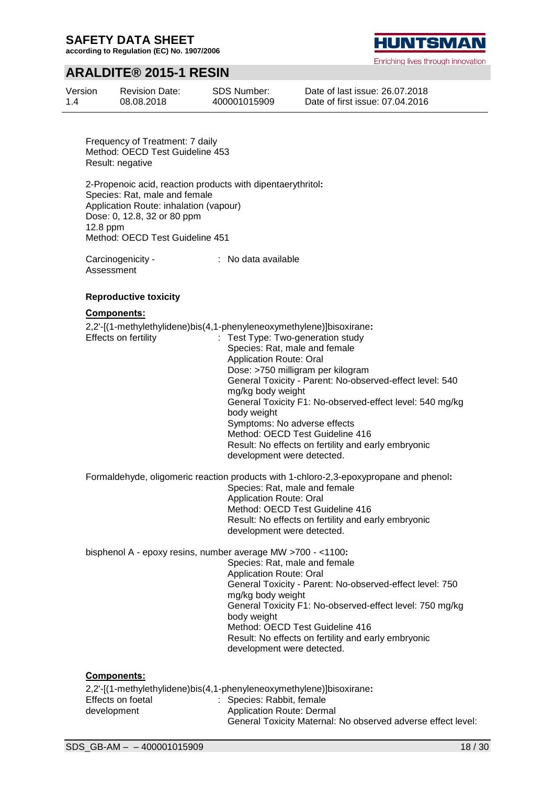**according to Regulation (EC) No. 1907/2006**

# **ARALDITE® 2015-1 RESIN**

| Version | <b>Revision Date:</b> | SDS Number:  |
|---------|-----------------------|--------------|
| 1.4     | 08.08.2018            | 400001015909 |

HUNTSMAI

Enriching lives through innovation

Date of last issue: 26.07.2018 Date of first issue: 07.04.2016

Frequency of Treatment: 7 daily Method: OECD Test Guideline 453 Result: negative

2-Propenoic acid, reaction products with dipentaerythritol**:** Species: Rat, male and female Application Route: inhalation (vapour) Dose: 0, 12.8, 32 or 80 ppm 12.8 ppm Method: OECD Test Guideline 451

Carcinogenicity - Assessment : No data available

#### **Reproductive toxicity**

#### **Components:**

2,2'-[(1-methylethylidene)bis(4,1-phenyleneoxymethylene)]bisoxirane**:** Effects on fertility : Test Type: Two-generation study Species: Rat, male and female Application Route: Oral Dose: >750 milligram per kilogram General Toxicity - Parent: No-observed-effect level: 540 mg/kg body weight General Toxicity F1: No-observed-effect level: 540 mg/kg body weight Symptoms: No adverse effects Method: OECD Test Guideline 416 Result: No effects on fertility and early embryonic development were detected. Formaldehyde, oligomeric reaction products with 1-chloro-2,3-epoxypropane and phenol**:**

Species: Rat, male and female Application Route: Oral Method: OECD Test Guideline 416 Result: No effects on fertility and early embryonic development were detected.

bisphenol A - epoxy resins, number average MW >700 - <1100**:**

Species: Rat, male and female Application Route: Oral General Toxicity - Parent: No-observed-effect level: 750 mg/kg body weight General Toxicity F1: No-observed-effect level: 750 mg/kg body weight Method: OECD Test Guideline 416 Result: No effects on fertility and early embryonic development were detected.

#### **Components:**

2,2'-[(1-methylethylidene)bis(4,1-phenyleneoxymethylene)]bisoxirane**:** Effects on foetal development : Species: Rabbit, female Application Route: Dermal General Toxicity Maternal: No observed adverse effect level: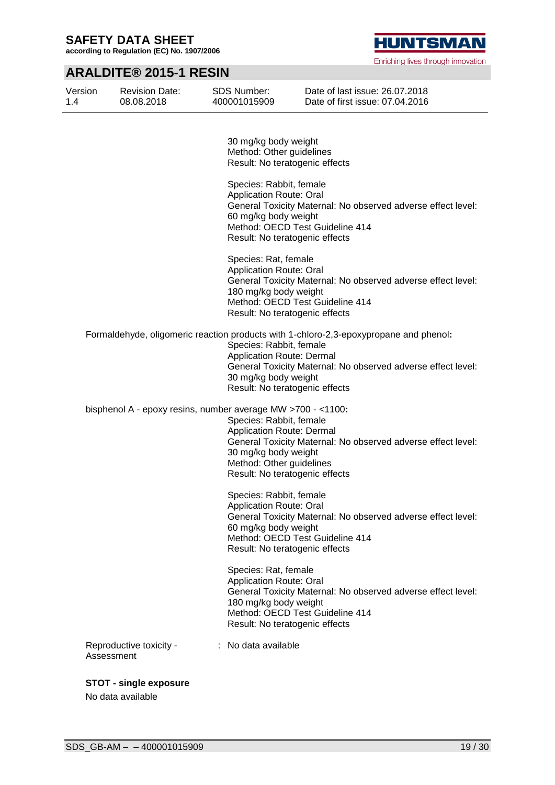**according to Regulation (EC) No. 1907/2006**

# **HUNTSMAN**

Enriching lives through innovation

# **ARALDITE® 2015-1 RESIN**

| Version<br>1.4 | <b>Revision Date:</b><br>08.08.2018                         | <b>SDS Number:</b><br>400001015909                                                                                                                | Date of last issue: 26.07.2018<br>Date of first issue: 07.04.2016                                                                                     |
|----------------|-------------------------------------------------------------|---------------------------------------------------------------------------------------------------------------------------------------------------|-------------------------------------------------------------------------------------------------------------------------------------------------------|
|                |                                                             | 30 mg/kg body weight<br>Method: Other guidelines<br>Result: No teratogenic effects                                                                |                                                                                                                                                       |
|                |                                                             | Species: Rabbit, female<br>Application Route: Oral<br>60 mg/kg body weight<br>Method: OECD Test Guideline 414<br>Result: No teratogenic effects   | General Toxicity Maternal: No observed adverse effect level:                                                                                          |
|                |                                                             | Species: Rat, female<br>Application Route: Oral<br>180 mg/kg body weight<br>Method: OECD Test Guideline 414<br>Result: No teratogenic effects     | General Toxicity Maternal: No observed adverse effect level:                                                                                          |
|                |                                                             | Species: Rabbit, female<br>Application Route: Dermal<br>30 mg/kg body weight<br>Result: No teratogenic effects                                    | Formaldehyde, oligomeric reaction products with 1-chloro-2,3-epoxypropane and phenol:<br>General Toxicity Maternal: No observed adverse effect level: |
|                | bisphenol A - epoxy resins, number average MW >700 - <1100: | Species: Rabbit, female<br><b>Application Route: Dermal</b><br>30 mg/kg body weight<br>Method: Other guidelines<br>Result: No teratogenic effects | General Toxicity Maternal: No observed adverse effect level:                                                                                          |
|                |                                                             | Species: Rabbit, female<br>Application Route: Oral<br>60 mg/kg body weight<br>Method: OECD Test Guideline 414<br>Result: No teratogenic effects   | General Toxicity Maternal: No observed adverse effect level:                                                                                          |
|                |                                                             | Species: Rat, female<br>Application Route: Oral<br>180 mg/kg body weight<br>Method: OECD Test Guideline 414<br>Result: No teratogenic effects     | General Toxicity Maternal: No observed adverse effect level:                                                                                          |
| Assessment     | Reproductive toxicity -                                     | No data available                                                                                                                                 |                                                                                                                                                       |

**STOT - single exposure**

No data available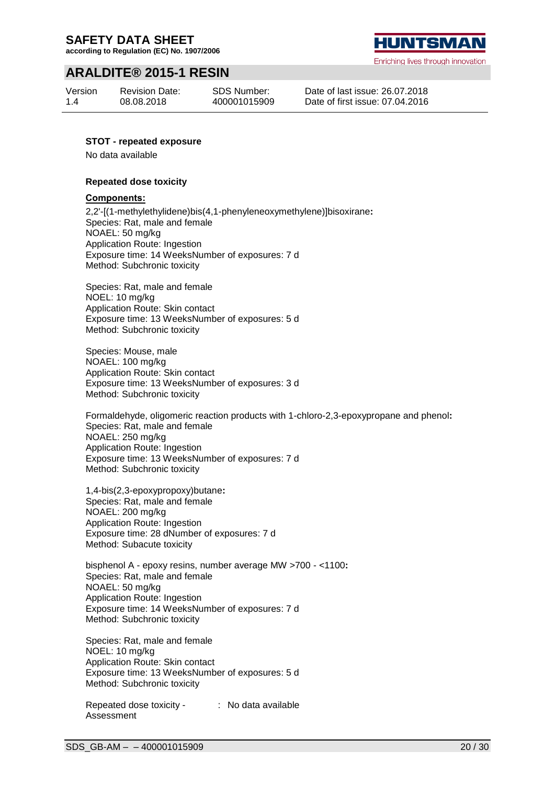**according to Regulation (EC) No. 1907/2006**

# **ARALDITE® 2015-1 RESIN**

Version 1.4

Revision Date: 08.08.2018

SDS Number: 400001015909 **HUNTSMA** 

Enriching lives through innovation

Date of last issue: 26.07.2018 Date of first issue: 07.04.2016

#### **STOT - repeated exposure**

No data available

#### **Repeated dose toxicity**

#### **Components:**

2,2'-[(1-methylethylidene)bis(4,1-phenyleneoxymethylene)]bisoxirane**:** Species: Rat, male and female NOAEL: 50 mg/kg Application Route: Ingestion Exposure time: 14 WeeksNumber of exposures: 7 d Method: Subchronic toxicity

Species: Rat, male and female NOEL: 10 mg/kg Application Route: Skin contact Exposure time: 13 WeeksNumber of exposures: 5 d Method: Subchronic toxicity

Species: Mouse, male NOAEL: 100 mg/kg Application Route: Skin contact Exposure time: 13 WeeksNumber of exposures: 3 d Method: Subchronic toxicity

Formaldehyde, oligomeric reaction products with 1-chloro-2,3-epoxypropane and phenol**:** Species: Rat, male and female NOAEL: 250 mg/kg Application Route: Ingestion Exposure time: 13 WeeksNumber of exposures: 7 d Method: Subchronic toxicity

1,4-bis(2,3-epoxypropoxy)butane**:** Species: Rat, male and female NOAEL: 200 mg/kg Application Route: Ingestion Exposure time: 28 dNumber of exposures: 7 d Method: Subacute toxicity

bisphenol A - epoxy resins, number average MW >700 - <1100**:** Species: Rat, male and female NOAEL: 50 mg/kg Application Route: Ingestion Exposure time: 14 WeeksNumber of exposures: 7 d Method: Subchronic toxicity

Species: Rat, male and female NOEL: 10 mg/kg Application Route: Skin contact Exposure time: 13 WeeksNumber of exposures: 5 d Method: Subchronic toxicity

Repeated dose toxicity - Assessment : No data available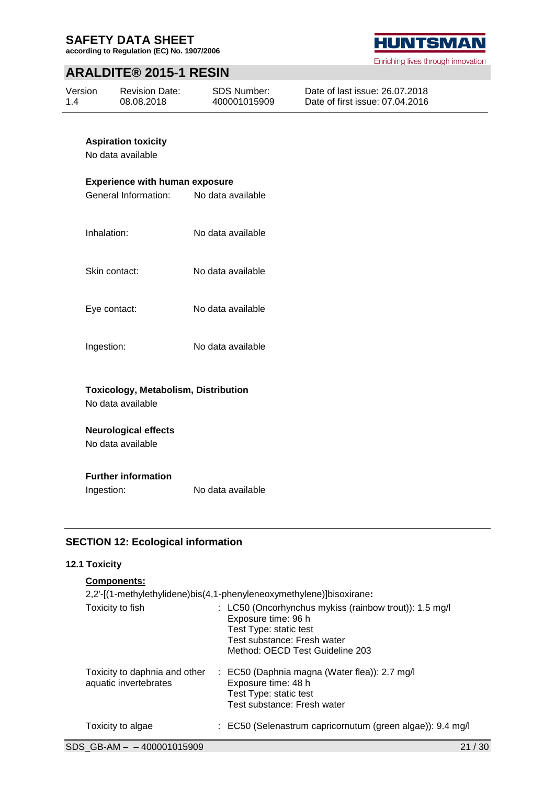**according to Regulation (EC) No. 1907/2006**

# **ARALDITE® 2015-1 RESIN**

| Version | <b>Revision Date:</b> | SDS Number:  | Date of last issue: 26.07.2018  |
|---------|-----------------------|--------------|---------------------------------|
| 1.4     | 08.08.2018            | 400001015909 | Date of first issue: 07.04.2016 |

### **Aspiration toxicity**

No data available

#### **Experience with human exposure**

General Information: No data available Inhalation: No data available Skin contact: No data available Eye contact: No data available Ingestion: No data available

### **Toxicology, Metabolism, Distribution**

No data available

### **Neurological effects**

No data available

#### **Further information**

Ingestion: No data available

### **SECTION 12: Ecological information**

#### **12.1 Toxicity**

| <b>Components:</b>                                     |                                                                                                                                                                           |
|--------------------------------------------------------|---------------------------------------------------------------------------------------------------------------------------------------------------------------------------|
|                                                        | 2,2'-[(1-methylethylidene)bis(4,1-phenyleneoxymethylene)]bisoxirane:                                                                                                      |
| Toxicity to fish                                       | : LC50 (Oncorhynchus mykiss (rainbow trout)): 1.5 mg/l<br>Exposure time: 96 h<br>Test Type: static test<br>Test substance: Fresh water<br>Method: OECD Test Guideline 203 |
| Toxicity to daphnia and other<br>aquatic invertebrates | : EC50 (Daphnia magna (Water flea)): 2.7 mg/l<br>Exposure time: 48 h<br>Test Type: static test<br>Test substance: Fresh water                                             |
| Toxicity to algae                                      | : EC50 (Selenastrum capricornutum (green algae)): 9.4 mg/l                                                                                                                |

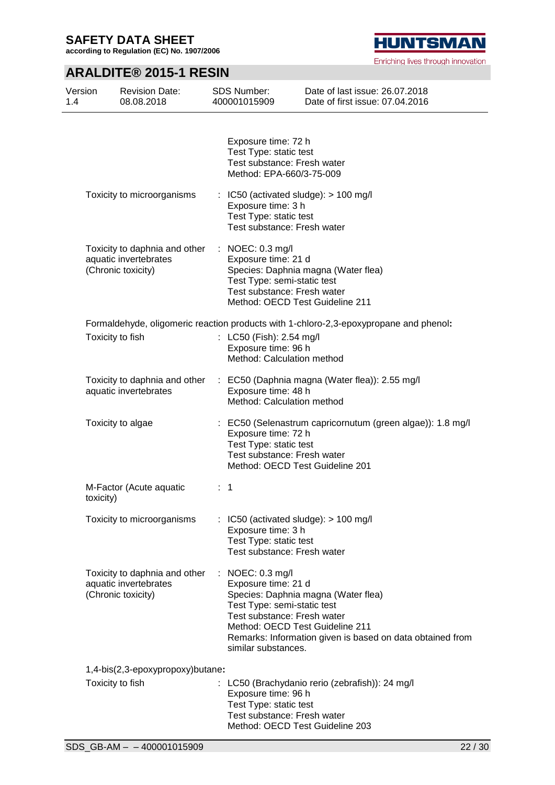**according to Regulation (EC) No. 1907/2006**

# **HUNTSMAN**

Enriching lives through innovation

# **ARALDITE® 2015-1 RESIN**

| Version<br>1.4 | <b>Revision Date:</b><br>08.08.2018                                          | <b>SDS Number:</b><br>400001015909                                                                                                                                        | Date of last issue: 26.07.2018<br>Date of first issue: 07.04.2016                                |
|----------------|------------------------------------------------------------------------------|---------------------------------------------------------------------------------------------------------------------------------------------------------------------------|--------------------------------------------------------------------------------------------------|
|                |                                                                              | Exposure time: 72 h<br>Test Type: static test<br>Test substance: Fresh water<br>Method: EPA-660/3-75-009                                                                  |                                                                                                  |
|                | Toxicity to microorganisms                                                   | $\therefore$ IC50 (activated sludge): $>$ 100 mg/l<br>Exposure time: 3 h<br>Test Type: static test<br>Test substance: Fresh water                                         |                                                                                                  |
|                | Toxicity to daphnia and other<br>aquatic invertebrates<br>(Chronic toxicity) | : NOEC: $0.3 \text{ mg/l}$<br>Exposure time: 21 d<br>Test Type: semi-static test<br>Test substance: Fresh water<br>Method: OECD Test Guideline 211                        | Species: Daphnia magna (Water flea)                                                              |
|                | Toxicity to fish                                                             | : LC50 (Fish): 2.54 mg/l<br>Exposure time: 96 h<br>Method: Calculation method                                                                                             | Formaldehyde, oligomeric reaction products with 1-chloro-2,3-epoxypropane and phenol:            |
|                | Toxicity to daphnia and other<br>aquatic invertebrates                       | Exposure time: 48 h<br>Method: Calculation method                                                                                                                         | : EC50 (Daphnia magna (Water flea)): 2.55 mg/l                                                   |
|                | Toxicity to algae                                                            | Exposure time: 72 h<br>Test Type: static test<br>Test substance: Fresh water<br>Method: OECD Test Guideline 201                                                           | : EC50 (Selenastrum capricornutum (green algae)): 1.8 mg/l                                       |
|                | M-Factor (Acute aquatic<br>toxicity)                                         | $\therefore$ 1                                                                                                                                                            |                                                                                                  |
|                | Toxicity to microorganisms                                                   | : IC50 (activated sludge): $> 100$ mg/l<br>Exposure time: 3 h<br>Test Type: static test<br>Test substance: Fresh water                                                    |                                                                                                  |
|                | Toxicity to daphnia and other<br>aquatic invertebrates<br>(Chronic toxicity) | : NOEC: $0.3 \text{ mg/l}$<br>Exposure time: 21 d<br>Test Type: semi-static test<br>Test substance: Fresh water<br>Method: OECD Test Guideline 211<br>similar substances. | Species: Daphnia magna (Water flea)<br>Remarks: Information given is based on data obtained from |
|                | 1,4-bis(2,3-epoxypropoxy)butane:                                             |                                                                                                                                                                           |                                                                                                  |
|                | Toxicity to fish                                                             | Exposure time: 96 h<br>Test Type: static test<br>Test substance: Fresh water<br>Method: OECD Test Guideline 203                                                           | : LC50 (Brachydanio rerio (zebrafish)): 24 mg/l                                                  |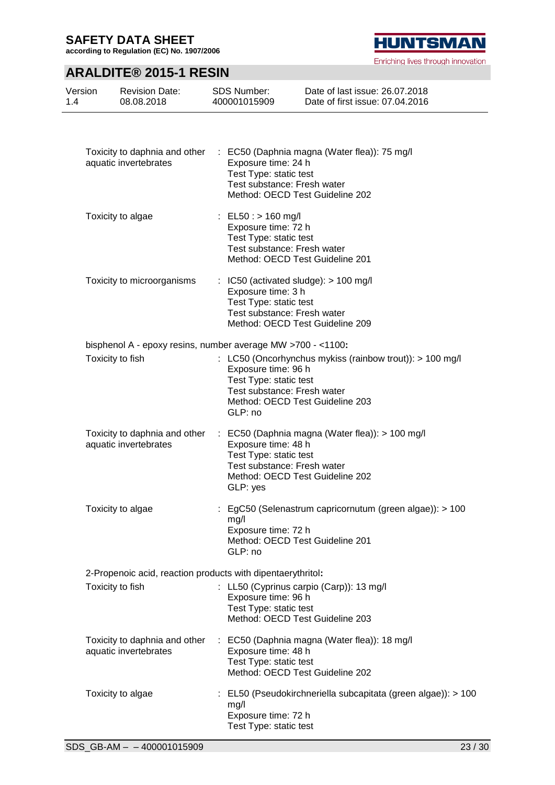**according to Regulation (EC) No. 1907/2006**

# **ARALDITE® 2015-1 RESIN**

| Version | <b>Revision Date:</b> | SDS Number:  | Date of last issue: 26.07.2018  |
|---------|-----------------------|--------------|---------------------------------|
| 1.4     | 08.08.2018            | 400001015909 | Date of first issue: 07.04.2016 |
|         |                       |              |                                 |

| Toxicity to daphnia and other<br>aquatic invertebrates      | : EC50 (Daphnia magna (Water flea)): 75 mg/l<br>Exposure time: 24 h<br>Test Type: static test<br>Test substance: Fresh water<br>Method: OECD Test Guideline 202                |
|-------------------------------------------------------------|--------------------------------------------------------------------------------------------------------------------------------------------------------------------------------|
| Toxicity to algae                                           | : $EL50: > 160$ mg/l<br>Exposure time: 72 h<br>Test Type: static test<br>Test substance: Fresh water<br>Method: OECD Test Guideline 201                                        |
| Toxicity to microorganisms                                  | $\therefore$ IC50 (activated sludge): $> 100$ mg/l<br>Exposure time: 3 h<br>Test Type: static test<br>Test substance: Fresh water<br>Method: OECD Test Guideline 209           |
|                                                             | bisphenol A - epoxy resins, number average MW >700 - <1100:                                                                                                                    |
| Toxicity to fish                                            | : LC50 (Oncorhynchus mykiss (rainbow trout)): > 100 mg/l<br>Exposure time: 96 h<br>Test Type: static test<br>Test substance: Fresh water                                       |
|                                                             | Method: OECD Test Guideline 203<br>GLP: no                                                                                                                                     |
| Toxicity to daphnia and other<br>aquatic invertebrates      | : EC50 (Daphnia magna (Water flea)): > 100 mg/l<br>Exposure time: 48 h<br>Test Type: static test<br>Test substance: Fresh water<br>Method: OECD Test Guideline 202<br>GLP: yes |
| Toxicity to algae                                           | : EgC50 (Selenastrum capricornutum (green algae)): > 100<br>mg/l<br>Exposure time: 72 h<br>Method: OECD Test Guideline 201<br>GLP: no                                          |
| 2-Propenoic acid, reaction products with dipentaerythritol: |                                                                                                                                                                                |
| Toxicity to fish                                            | : LL50 (Cyprinus carpio (Carp)): 13 mg/l<br>Exposure time: 96 h<br>Test Type: static test<br>Method: OECD Test Guideline 203                                                   |
| Toxicity to daphnia and other<br>aquatic invertebrates      | : EC50 (Daphnia magna (Water flea)): 18 mg/l<br>Exposure time: 48 h<br>Test Type: static test<br>Method: OECD Test Guideline 202                                               |
| Toxicity to algae                                           | : EL50 (Pseudokirchneriella subcapitata (green algae)): > 100<br>mg/l<br>Exposure time: 72 h<br>Test Type: static test                                                         |

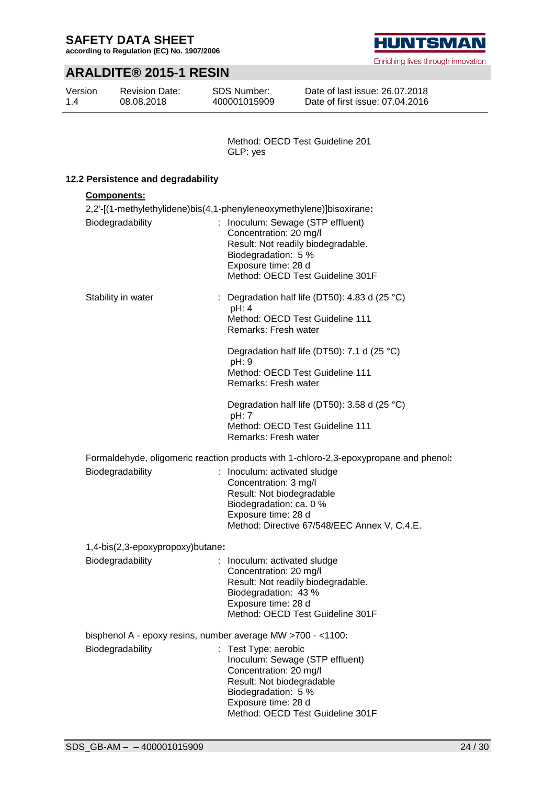**according to Regulation (EC) No. 1907/2006**

# **ARALDITE® 2015-1 RESIN**

| Version | <b>Revision Date:</b> | <b>SDS Number:</b> |
|---------|-----------------------|--------------------|
| 1.4     | 08.08.2018            | 400001015909       |

**HUNTSMAN** 

Enriching lives through innovation

Date of last issue: 26.07.2018 Date of first issue: 07.04.2016

Method: OECD Test Guideline 201 GLP: yes

### **12.2 Persistence and degradability**

| <b>Components:</b>                                          |                                                                                                                              |
|-------------------------------------------------------------|------------------------------------------------------------------------------------------------------------------------------|
|                                                             | 2,2'-[(1-methylethylidene)bis(4,1-phenyleneoxymethylene)]bisoxirane:                                                         |
| Biodegradability                                            | Inoculum: Sewage (STP effluent)<br>÷.<br>Concentration: 20 mg/l<br>Result: Not readily biodegradable.<br>Biodegradation: 5 % |
|                                                             | Exposure time: 28 d<br>Method: OECD Test Guideline 301F                                                                      |
| Stability in water                                          | : Degradation half life (DT50): 4.83 d (25 $^{\circ}$ C)<br>pH: 4                                                            |
|                                                             | Method: OECD Test Guideline 111<br>Remarks: Fresh water                                                                      |
|                                                             | Degradation half life (DT50): 7.1 d (25 °C)<br>pH: 9                                                                         |
|                                                             | Method: OECD Test Guideline 111<br>Remarks: Fresh water                                                                      |
|                                                             | Degradation half life (DT50): 3.58 d (25 °C)<br>pH: 7                                                                        |
|                                                             | Method: OECD Test Guideline 111<br>Remarks: Fresh water                                                                      |
|                                                             | Formaldehyde, oligomeric reaction products with 1-chloro-2,3-epoxypropane and phenol:                                        |
| Biodegradability                                            | : Inoculum: activated sludge<br>Concentration: 3 mg/l<br>Result: Not biodegradable                                           |
|                                                             | Biodegradation: ca. 0 %                                                                                                      |
|                                                             | Exposure time: 28 d<br>Method: Directive 67/548/EEC Annex V, C.4.E.                                                          |
| 1,4-bis(2,3-epoxypropoxy)butane:                            |                                                                                                                              |
| Biodegradability                                            | : Inoculum: activated sludge<br>Concentration: 20 mg/l<br>Result: Not readily biodegradable.                                 |
|                                                             | Biodegradation: 43 %                                                                                                         |
|                                                             | Exposure time: 28 d<br>Method: OECD Test Guideline 301F                                                                      |
| bisphenol A - epoxy resins, number average MW >700 - <1100: |                                                                                                                              |
| Biodegradability                                            | : Test Type: aerobic<br>Inoculum: Sewage (STP effluent)<br>Concentration: 20 mg/l<br>Result: Not biodegradable               |
|                                                             | Biodegradation: 5 %                                                                                                          |

Exposure time: 28 d

Method: OECD Test Guideline 301F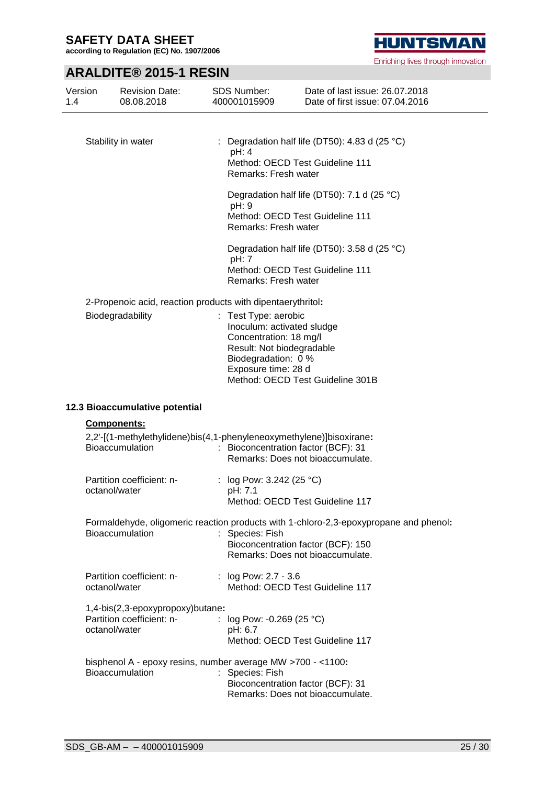**according to Regulation (EC) No. 1907/2006**

# **ARALDITE® 2015-1 RESIN**

| Version<br>1.4 | <b>Revision Date:</b><br>08.08.2018                           | <b>SDS Number:</b><br>400001015909                                           | Date of last issue: 26.07.2018<br>Date of first issue: 07.04.2016                     |
|----------------|---------------------------------------------------------------|------------------------------------------------------------------------------|---------------------------------------------------------------------------------------|
|                |                                                               |                                                                              |                                                                                       |
|                | Stability in water                                            | pH: 4                                                                        | : Degradation half life (DT50): 4.83 d (25 $^{\circ}$ C)                              |
|                |                                                               | Remarks: Fresh water                                                         | Method: OECD Test Guideline 111                                                       |
|                |                                                               | pH: 9                                                                        | Degradation half life (DT50): 7.1 d (25 °C)                                           |
|                |                                                               | Remarks: Fresh water                                                         | Method: OECD Test Guideline 111                                                       |
|                |                                                               | pH: 7                                                                        | Degradation half life (DT50): 3.58 d (25 °C)                                          |
|                |                                                               | Remarks: Fresh water                                                         | Method: OECD Test Guideline 111                                                       |
|                |                                                               | 2-Propenoic acid, reaction products with dipentaerythritol:                  |                                                                                       |
|                | Biodegradability                                              | : Test Type: aerobic<br>Inoculum: activated sludge<br>Concentration: 18 mg/l |                                                                                       |
|                |                                                               | Result: Not biodegradable<br>Biodegradation: 0 %                             |                                                                                       |
|                |                                                               | Exposure time: 28 d                                                          | Method: OECD Test Guideline 301B                                                      |
|                | 12.3 Bioaccumulative potential                                |                                                                              |                                                                                       |
|                | <b>Components:</b>                                            |                                                                              |                                                                                       |
|                | Bioaccumulation                                               | 2,2'-[(1-methylethylidene)bis(4,1-phenyleneoxymethylene)]bisoxirane:         | : Bioconcentration factor (BCF): 31<br>Remarks: Does not bioaccumulate.               |
|                | Partition coefficient: n-<br>octanol/water                    | : $log Pow: 3.242 (25 °C)$<br>pH: 7.1                                        |                                                                                       |
|                |                                                               |                                                                              | Method: OECD Test Guideline 117                                                       |
|                | <b>Bioaccumulation</b>                                        | : Species: Fish                                                              | Formaldehyde, oligomeric reaction products with 1-chloro-2,3-epoxypropane and phenol: |
|                |                                                               |                                                                              | Bioconcentration factor (BCF): 150<br>Remarks: Does not bioaccumulate.                |
|                | Partition coefficient: n-<br>octanol/water                    | : log Pow: 2.7 - 3.6                                                         | Method: OECD Test Guideline 117                                                       |
|                | 1,4-bis(2,3-epoxypropoxy)butane:<br>Partition coefficient: n- | : $log Pow: -0.269 (25 °C)$                                                  |                                                                                       |
|                | octanol/water                                                 | pH: 6.7                                                                      |                                                                                       |

|                 | bisphenol A - epoxy resins, number average MW >700 - <1100: |
|-----------------|-------------------------------------------------------------|
| Bioaccumulation | : Species: Fish                                             |
|                 | Bioconcentration factor (BCF): 31                           |
|                 | Remarks: Does not bioaccumulate.                            |

Method: OECD Test Guideline 117

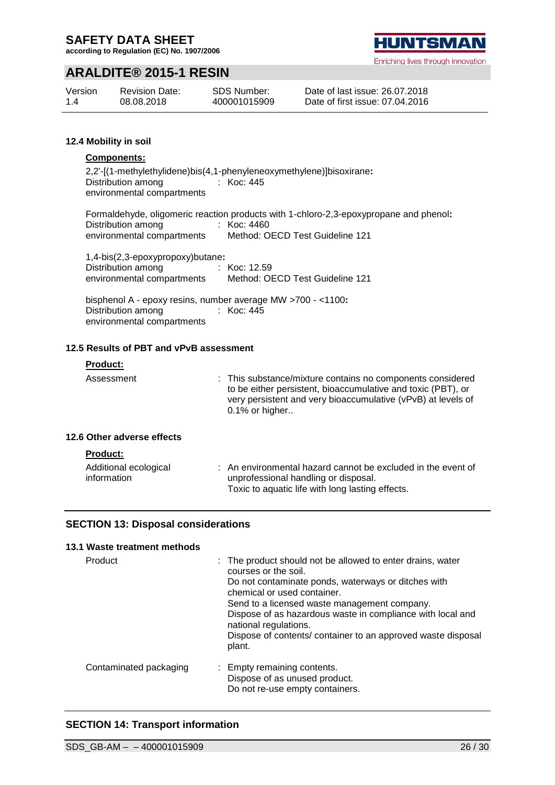**according to Regulation (EC) No. 1907/2006**

# **ARALDITE® 2015-1 RESIN**

| Version | <b>Revision Date:</b> | <b>SDS Number:</b> |
|---------|-----------------------|--------------------|
| 1.4     | 08.08.2018            | 400001015909       |

#### Date of last issue: 26.07.2018 Date of first issue: 07.04.2016

#### **12.4 Mobility in soil**

#### **Components:**

2,2'-[(1-methylethylidene)bis(4,1-phenyleneoxymethylene)]bisoxirane**:** Distribution among environmental compartments : Koc: 445

Formaldehyde, oligomeric reaction products with 1-chloro-2,3-epoxypropane and phenol**:** Distribution among environmental compartments : Koc: 4460 Method: OECD Test Guideline 121

| 1,4-bis(2,3-epoxypropoxy)butane: |                                 |
|----------------------------------|---------------------------------|
| Distribution among               | : Koc: 12.59                    |
| environmental compartments       | Method: OECD Test Guideline 121 |

bisphenol A - epoxy resins, number average MW >700 - <1100**:** Distribution among environmental compartments : Koc: 445

#### **12.5 Results of PBT and vPvB assessment**

#### **Product:**

Assessment : This substance/mixture contains no components considered to be either persistent, bioaccumulative and toxic (PBT), or very persistent and very bioaccumulative (vPvB) at levels of 0.1% or higher..

#### **12.6 Other adverse effects**

| <b>Product:</b>                      |                                                                                                      |
|--------------------------------------|------------------------------------------------------------------------------------------------------|
| Additional ecological<br>information | : An environmental hazard cannot be excluded in the event of<br>unprofessional handling or disposal. |
|                                      | Toxic to aquatic life with long lasting effects.                                                     |

#### **SECTION 13: Disposal considerations**

#### **13.1 Waste treatment methods**

| Product                | : The product should not be allowed to enter drains, water<br>courses or the soil.<br>Do not contaminate ponds, waterways or ditches with<br>chemical or used container.<br>Send to a licensed waste management company.<br>Dispose of as hazardous waste in compliance with local and<br>national regulations.<br>Dispose of contents/ container to an approved waste disposal<br>plant. |
|------------------------|-------------------------------------------------------------------------------------------------------------------------------------------------------------------------------------------------------------------------------------------------------------------------------------------------------------------------------------------------------------------------------------------|
| Contaminated packaging | : Empty remaining contents.<br>Dispose of as unused product.<br>Do not re-use empty containers.                                                                                                                                                                                                                                                                                           |

### **SECTION 14: Transport information**

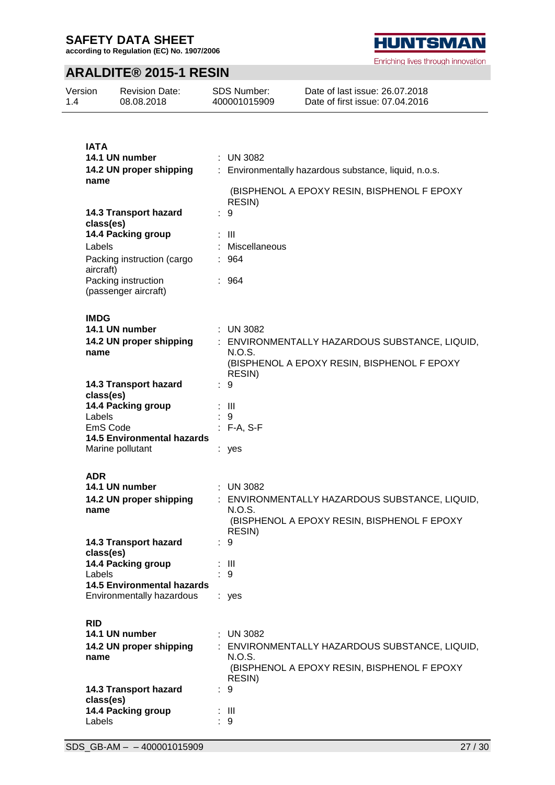Version

**according to Regulation (EC) No. 1907/2006**

# **ARALDITE® 2015-1 RESIN**

Revision Date:

SDS Number:

| 1.4 | 08.08.2018                                  | 400001015909     | Date of first issue: 07.04.2016                       |
|-----|---------------------------------------------|------------------|-------------------------------------------------------|
|     |                                             |                  |                                                       |
|     |                                             |                  |                                                       |
|     | <b>IATA</b><br>14.1 UN number               | $:$ UN 3082      |                                                       |
|     | 14.2 UN proper shipping                     |                  | : Environmentally hazardous substance, liquid, n.o.s. |
|     | name                                        |                  |                                                       |
|     |                                             |                  | (BISPHENOL A EPOXY RESIN, BISPHENOL F EPOXY           |
|     |                                             | RESIN)           |                                                       |
|     | 14.3 Transport hazard<br>class(es)          | 9                |                                                       |
|     | 14.4 Packing group                          | $\therefore$ III |                                                       |
|     | Labels                                      | Miscellaneous    |                                                       |
|     | Packing instruction (cargo                  | : 964            |                                                       |
|     | aircraft)<br>Packing instruction            | : 964            |                                                       |
|     | (passenger aircraft)                        |                  |                                                       |
|     |                                             |                  |                                                       |
|     | <b>IMDG</b>                                 |                  |                                                       |
|     | 14.1 UN number                              | : UN 3082        |                                                       |
|     | 14.2 UN proper shipping                     |                  | : ENVIRONMENTALLY HAZARDOUS SUBSTANCE, LIQUID,        |
|     | name                                        | N.O.S.           | (BISPHENOL A EPOXY RESIN, BISPHENOL F EPOXY           |
|     |                                             | RESIN)           |                                                       |
|     | 14.3 Transport hazard                       | : 9              |                                                       |
|     | class(es)                                   |                  |                                                       |
|     | 14.4 Packing group<br>Labels                | : III<br>9       |                                                       |
|     | EmS Code                                    | $: F-A, S-F$     |                                                       |
|     | <b>14.5 Environmental hazards</b>           |                  |                                                       |
|     | Marine pollutant                            | : yes            |                                                       |
|     |                                             |                  |                                                       |
|     | <b>ADR</b><br>14.1 UN number                | <b>UN 3082</b>   |                                                       |
|     | 14.2 UN proper shipping                     |                  | : ENVIRONMENTALLY HAZARDOUS SUBSTANCE, LIQUID,        |
|     | name                                        | N.O.S.           |                                                       |
|     |                                             |                  | (BISPHENOL A EPOXY RESIN, BISPHENOL F EPOXY           |
|     | 14.3 Transport hazard                       | RESIN)<br>9      |                                                       |
|     | class(es)                                   |                  |                                                       |
|     | 14.4 Packing group                          | : III            |                                                       |
|     | Labels<br><b>14.5 Environmental hazards</b> | : 9              |                                                       |
|     | Environmentally hazardous                   | : yes            |                                                       |
|     |                                             |                  |                                                       |
|     | <b>RID</b>                                  |                  |                                                       |
|     | 14.1 UN number                              | $:$ UN 3082      |                                                       |
|     | 14.2 UN proper shipping                     |                  | : ENVIRONMENTALLY HAZARDOUS SUBSTANCE, LIQUID,        |
|     | name                                        | N.O.S.           | (BISPHENOL A EPOXY RESIN, BISPHENOL F EPOXY           |
|     |                                             | RESIN)           |                                                       |
|     | 14.3 Transport hazard                       | 9                |                                                       |
|     | class(es)                                   |                  |                                                       |
|     | 14.4 Packing group<br>Labels                | - III<br>9       |                                                       |



Enriching lives through innovation

Date of last issue: 26.07.2018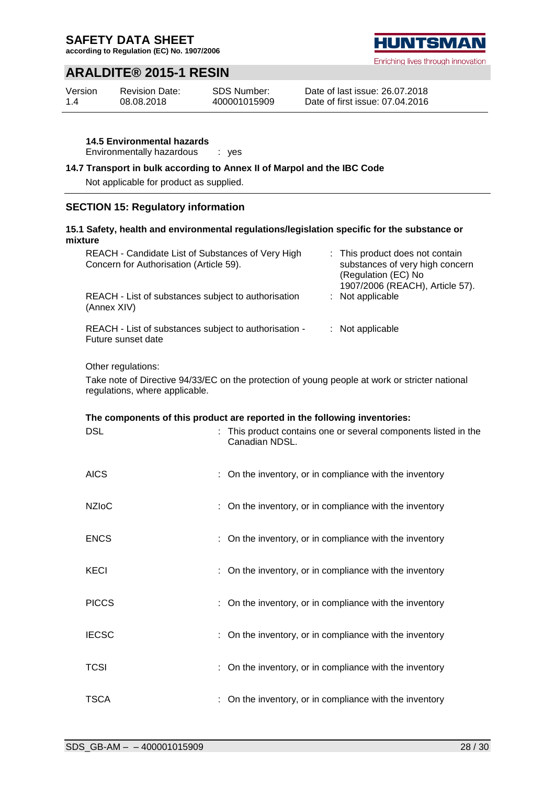**according to Regulation (EC) No. 1907/2006**

# **ARALDITE® 2015-1 RESIN**

| Version | <b>Revision Date:</b> | SDS Number:  |
|---------|-----------------------|--------------|
| 1.4     | 08.08.2018            | 400001015909 |

Date of last issue: 26.07.2018 Date of first issue: 07.04.2016

**14.5 Environmental hazards**

Environmentally hazardous : yes

#### **14.7 Transport in bulk according to Annex II of Marpol and the IBC Code**

Not applicable for product as supplied.

### **SECTION 15: Regulatory information**

### **15.1 Safety, health and environmental regulations/legislation specific for the substance or mixture**

| REACH - Candidate List of Substances of Very High<br>Concern for Authorisation (Article 59). | : This product does not contain<br>substances of very high concern<br>(Regulation (EC) No<br>1907/2006 (REACH), Article 57). |
|----------------------------------------------------------------------------------------------|------------------------------------------------------------------------------------------------------------------------------|
| REACH - List of substances subject to authorisation<br>(Annex XIV)                           | $:$ Not applicable                                                                                                           |
| REACH - List of substances subject to authorisation -<br>Future sunset date                  | : Not applicable                                                                                                             |

Other regulations:

Take note of Directive 94/33/EC on the protection of young people at work or stricter national regulations, where applicable.

| The components of this product are reported in the following inventories: |  |                                                                                 |  |
|---------------------------------------------------------------------------|--|---------------------------------------------------------------------------------|--|
| <b>DSL</b>                                                                |  | This product contains one or several components listed in the<br>Canadian NDSL. |  |
| <b>AICS</b>                                                               |  | : On the inventory, or in compliance with the inventory                         |  |
| <b>NZIoC</b>                                                              |  | : On the inventory, or in compliance with the inventory                         |  |
| <b>ENCS</b>                                                               |  | : On the inventory, or in compliance with the inventory                         |  |
| <b>KECI</b>                                                               |  | : On the inventory, or in compliance with the inventory                         |  |
| <b>PICCS</b>                                                              |  | : On the inventory, or in compliance with the inventory                         |  |
| <b>IECSC</b>                                                              |  | : On the inventory, or in compliance with the inventory                         |  |
| <b>TCSI</b>                                                               |  | : On the inventory, or in compliance with the inventory                         |  |
| TSCA                                                                      |  | On the inventory, or in compliance with the inventory                           |  |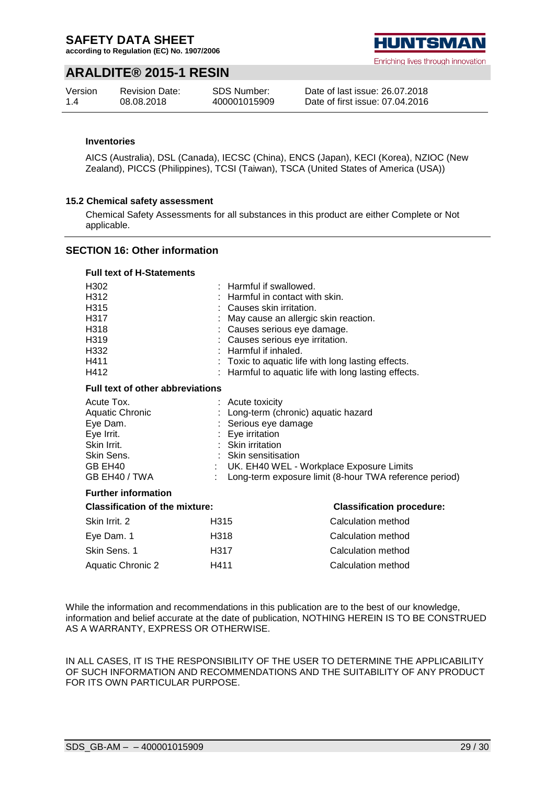**according to Regulation (EC) No. 1907/2006**

# **ARALDITE® 2015-1 RESIN**

| Version | <b>Revision Date:</b> | <b>SDS Number:</b> |
|---------|-----------------------|--------------------|
| 1.4     | 08.08.2018            | 400001015909       |

#### Date of last issue: 26.07.2018 Date of first issue: 07.04.2016

#### **Inventories**

AICS (Australia), DSL (Canada), IECSC (China), ENCS (Japan), KECI (Korea), NZIOC (New Zealand), PICCS (Philippines), TCSI (Taiwan), TSCA (United States of America (USA))

#### **15.2 Chemical safety assessment**

Chemical Safety Assessments for all substances in this product are either Complete or Not applicable.

### **SECTION 16: Other information**

#### **Full text of H-Statements**

| H302<br>H312<br>H315<br>H317<br>H318<br>H319<br>H332<br>H411<br>H412                                                    |                                                                                   | : Harmful if swallowed.<br>Harmful in contact with skin.<br>Causes skin irritation.<br>May cause an allergic skin reaction.<br>: Causes serious eye damage.<br>: Causes serious eye irritation.<br>: Harmful if inhaled.<br>Toxic to aquatic life with long lasting effects.<br>: Harmful to aquatic life with long lasting effects. |  |  |
|-------------------------------------------------------------------------------------------------------------------------|-----------------------------------------------------------------------------------|--------------------------------------------------------------------------------------------------------------------------------------------------------------------------------------------------------------------------------------------------------------------------------------------------------------------------------------|--|--|
| <b>Full text of other abbreviations</b>                                                                                 |                                                                                   |                                                                                                                                                                                                                                                                                                                                      |  |  |
| Acute Tox.<br><b>Aquatic Chronic</b><br>Eye Dam.<br>Eye Irrit.<br>Skin Irrit.<br>Skin Sens.<br>GB EH40<br>GB EH40 / TWA | : Acute toxicity<br>: Eye irritation<br>: Skin irritation<br>: Skin sensitisation | Long-term (chronic) aquatic hazard<br>Serious eye damage<br>UK. EH40 WEL - Workplace Exposure Limits<br>Long-term exposure limit (8-hour TWA reference period)                                                                                                                                                                       |  |  |
| <b>Further information</b>                                                                                              |                                                                                   |                                                                                                                                                                                                                                                                                                                                      |  |  |
| <b>Classification of the mixture:</b>                                                                                   |                                                                                   | <b>Classification procedure:</b>                                                                                                                                                                                                                                                                                                     |  |  |
| Skin Irrit. 2                                                                                                           | H315                                                                              | Calculation method                                                                                                                                                                                                                                                                                                                   |  |  |
| Eye Dam. 1                                                                                                              | H318                                                                              | Calculation method                                                                                                                                                                                                                                                                                                                   |  |  |
| Skin Sens. 1                                                                                                            | H317                                                                              | Calculation method                                                                                                                                                                                                                                                                                                                   |  |  |
| <b>Aquatic Chronic 2</b>                                                                                                | H411                                                                              | Calculation method                                                                                                                                                                                                                                                                                                                   |  |  |

While the information and recommendations in this publication are to the best of our knowledge, information and belief accurate at the date of publication, NOTHING HEREIN IS TO BE CONSTRUED AS A WARRANTY, EXPRESS OR OTHERWISE.

IN ALL CASES, IT IS THE RESPONSIBILITY OF THE USER TO DETERMINE THE APPLICABILITY OF SUCH INFORMATION AND RECOMMENDATIONS AND THE SUITABILITY OF ANY PRODUCT FOR ITS OWN PARTICULAR PURPOSE.